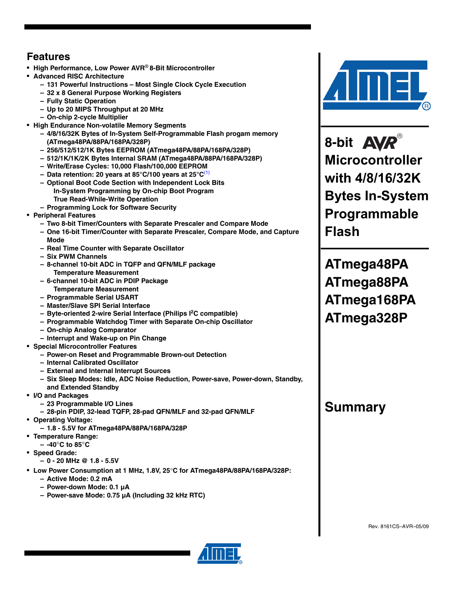## **Features**

- **High Performance, Low Power AVR**® **8-Bit Microcontroller**
- **Advanced RISC Architecture**
	- **131 Powerful Instructions Most Single Clock Cycle Execution**
	- **32 x 8 General Purpose Working Registers**
	- **Fully Static Operation**
	- **Up to 20 MIPS Throughput at 20 MHz**
	- **On-chip 2-cycle Multiplier**
- **High Endurance Non-volatile Memory Segments**
	- **4/8/16/32K Bytes of In-System Self-Programmable Flash progam memory (ATmega48PA/88PA/168PA/328P)**
	- **256/512/512/1K Bytes EEPROM (ATmega48PA/88PA/168PA/328P)**
	- **512/1K/1K/2K Bytes Internal SRAM (ATmega48PA/88PA/168PA/328P)**
	- **Write/Erase Cycles: 10,000 Flash/100,000 EEPROM**
	- **Data retention: 20 years at 85°C/100 years at 25°C**(1)
	- **Optional Boot Code Section with Independent Lock Bits In-System Programming by On-chip Boot Program True Read-While-Write Operation**
	- **Programming Lock for Software Security**
- **Peripheral Features**
	- **Two 8-bit Timer/Counters with Separate Prescaler and Compare Mode**
	- **One 16-bit Timer/Counter with Separate Prescaler, Compare Mode, and Capture Mode**
	- **Real Time Counter with Separate Oscillator**
	- **Six PWM Channels**
	- **8-channel 10-bit ADC in TQFP and QFN/MLF package Temperature Measurement**
	- **6-channel 10-bit ADC in PDIP Package Temperature Measurement**
	- **Programmable Serial USART**
	- **Master/Slave SPI Serial Interface**
	- **Byte-oriented 2-wire Serial Interface (Philips I2 C compatible)**
	- **Programmable Watchdog Timer with Separate On-chip Oscillator**
	- **On-chip Analog Comparator**
	- **Interrupt and Wake-up on Pin Change**
- **Special Microcontroller Features**
	- **Power-on Reset and Programmable Brown-out Detection**
	- **Internal Calibrated Oscillator**
	- **External and Internal Interrupt Sources**
	- **Six Sleep Modes: Idle, ADC Noise Reduction, Power-save, Power-down, Standby, and Extended Standby**
- **I/O and Packages**
	- **23 Programmable I/O Lines**
	- **28-pin PDIP, 32-lead TQFP, 28-pad QFN/MLF and 32-pad QFN/MLF**
- **Operating Voltage:**
- **1.8 5.5V for ATmega48PA/88PA/168PA/328P**
- **Temperature Range:**
	- **-40**°**C to 85**°**C**
- **Speed Grade:**
	- **0 20 MHz @ 1.8 5.5V**
- **Low Power Consumption at 1 MHz, 1.8V, 25**°**C for ATmega48PA/88PA/168PA/328P:**
	- **Active Mode: 0.2 mA**
	- **Power-down Mode: 0.1 µA**
	- **Power-save Mode: 0.75 µA (Including 32 kHz RTC)**



**8-bit Microcontroller with 4/8/16/32K Bytes In-System Programmable Flash**

**ATmega48PA ATmega88PA ATmega168PA ATmega328P**

## **Summary**

Rev. 8161CS–AVR–05/09

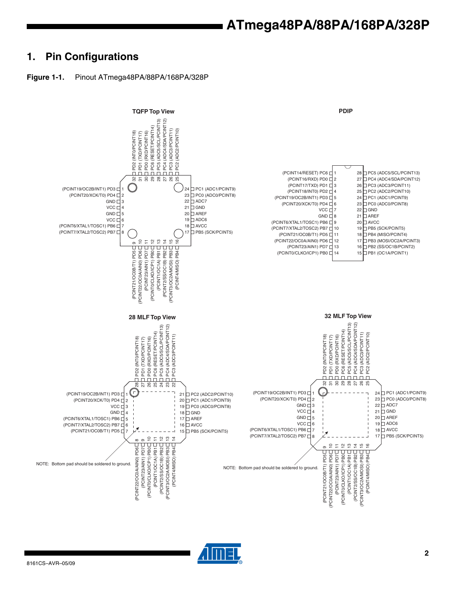### **1. Pin Configurations**





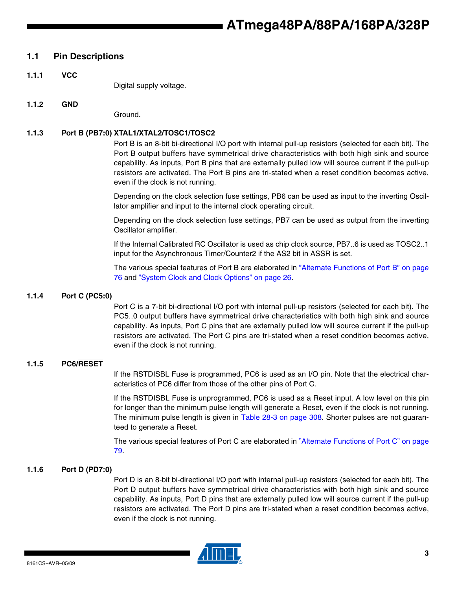#### **1.1 Pin Descriptions**

**1.1.1 VCC**

Digital supply voltage.

#### **1.1.2 GND**

Ground.

#### **1.1.3 Port B (PB7:0) XTAL1/XTAL2/TOSC1/TOSC2**

Port B is an 8-bit bi-directional I/O port with internal pull-up resistors (selected for each bit). The Port B output buffers have symmetrical drive characteristics with both high sink and source capability. As inputs, Port B pins that are externally pulled low will source current if the pull-up resistors are activated. The Port B pins are tri-stated when a reset condition becomes active, even if the clock is not running.

Depending on the clock selection fuse settings, PB6 can be used as input to the inverting Oscillator amplifier and input to the internal clock operating circuit.

Depending on the clock selection fuse settings, PB7 can be used as output from the inverting Oscillator amplifier.

If the Internal Calibrated RC Oscillator is used as chip clock source, PB7..6 is used as TOSC2..1 input for the Asynchronous Timer/Counter2 if the AS2 bit in ASSR is set.

The various special features of Port B are elaborated in "Alternate Functions of Port B" on page 76 and "System Clock and Clock Options" on page 26.

#### **1.1.4 Port C (PC5:0)**

Port C is a 7-bit bi-directional I/O port with internal pull-up resistors (selected for each bit). The PC5..0 output buffers have symmetrical drive characteristics with both high sink and source capability. As inputs, Port C pins that are externally pulled low will source current if the pull-up resistors are activated. The Port C pins are tri-stated when a reset condition becomes active, even if the clock is not running.

#### **1.1.5 PC6/RESET**

If the RSTDISBL Fuse is programmed, PC6 is used as an I/O pin. Note that the electrical characteristics of PC6 differ from those of the other pins of Port C.

If the RSTDISBL Fuse is unprogrammed, PC6 is used as a Reset input. A low level on this pin for longer than the minimum pulse length will generate a Reset, even if the clock is not running. The minimum pulse length is given in Table 28-3 on page 308. Shorter pulses are not guaranteed to generate a Reset.

The various special features of Port C are elaborated in "Alternate Functions of Port C" on page 79.

#### **1.1.6 Port D (PD7:0)**

Port D is an 8-bit bi-directional I/O port with internal pull-up resistors (selected for each bit). The Port D output buffers have symmetrical drive characteristics with both high sink and source capability. As inputs, Port D pins that are externally pulled low will source current if the pull-up resistors are activated. The Port D pins are tri-stated when a reset condition becomes active, even if the clock is not running.

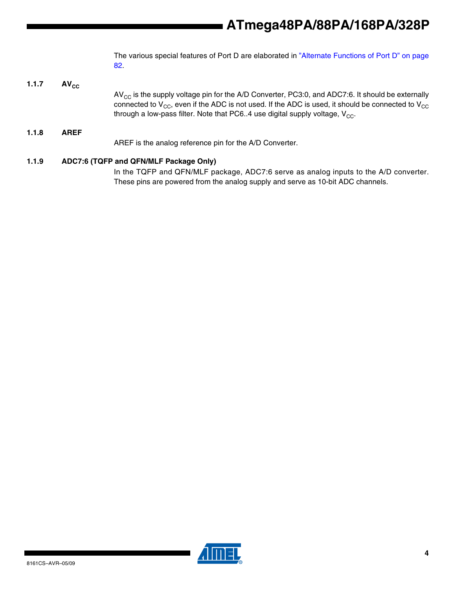The various special features of Port D are elaborated in "Alternate Functions of Port D" on page 82.

**1.1.7** AV<sub>cc</sub>  $AV_{CC}$  is the supply voltage pin for the A/D Converter, PC3:0, and ADC7:6. It should be externally connected to  $V_{CC}$ , even if the ADC is not used. If the ADC is used, it should be connected to  $V_{CC}$ through a low-pass filter. Note that PC6..4 use digital supply voltage,  $V_{CC}$ . **1.1.8 AREF** AREF is the analog reference pin for the A/D Converter.

### **1.1.9 ADC7:6 (TQFP and QFN/MLF Package Only)**

In the TQFP and QFN/MLF package, ADC7:6 serve as analog inputs to the A/D converter. These pins are powered from the analog supply and serve as 10-bit ADC channels.

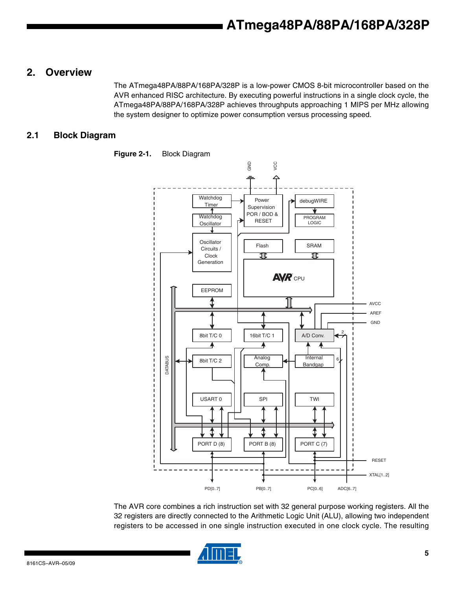### **2. Overview**

The ATmega48PA/88PA/168PA/328P is a low-power CMOS 8-bit microcontroller based on the AVR enhanced RISC architecture. By executing powerful instructions in a single clock cycle, the ATmega48PA/88PA/168PA/328P achieves throughputs approaching 1 MIPS per MHz allowing the system designer to optimize power consumption versus processing speed.

### **2.1 Block Diagram**



**Figure 2-1.** Block Diagram

The AVR core combines a rich instruction set with 32 general purpose working registers. All the 32 registers are directly connected to the Arithmetic Logic Unit (ALU), allowing two independent registers to be accessed in one single instruction executed in one clock cycle. The resulting

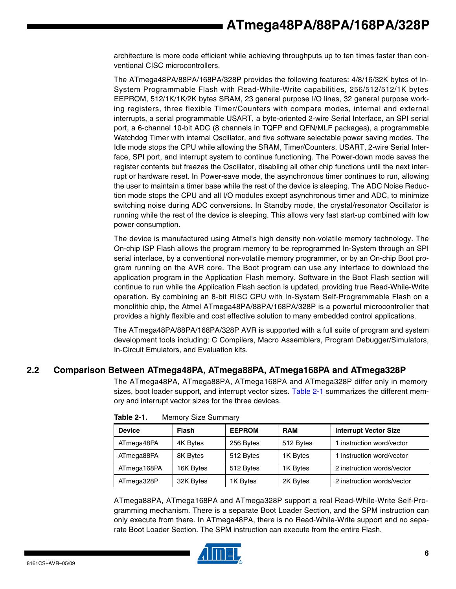architecture is more code efficient while achieving throughputs up to ten times faster than conventional CISC microcontrollers.

The ATmega48PA/88PA/168PA/328P provides the following features: 4/8/16/32K bytes of In-System Programmable Flash with Read-While-Write capabilities, 256/512/512/1K bytes EEPROM, 512/1K/1K/2K bytes SRAM, 23 general purpose I/O lines, 32 general purpose working registers, three flexible Timer/Counters with compare modes, internal and external interrupts, a serial programmable USART, a byte-oriented 2-wire Serial Interface, an SPI serial port, a 6-channel 10-bit ADC (8 channels in TQFP and QFN/MLF packages), a programmable Watchdog Timer with internal Oscillator, and five software selectable power saving modes. The Idle mode stops the CPU while allowing the SRAM, Timer/Counters, USART, 2-wire Serial Interface, SPI port, and interrupt system to continue functioning. The Power-down mode saves the register contents but freezes the Oscillator, disabling all other chip functions until the next interrupt or hardware reset. In Power-save mode, the asynchronous timer continues to run, allowing the user to maintain a timer base while the rest of the device is sleeping. The ADC Noise Reduction mode stops the CPU and all I/O modules except asynchronous timer and ADC, to minimize switching noise during ADC conversions. In Standby mode, the crystal/resonator Oscillator is running while the rest of the device is sleeping. This allows very fast start-up combined with low power consumption.

The device is manufactured using Atmel's high density non-volatile memory technology. The On-chip ISP Flash allows the program memory to be reprogrammed In-System through an SPI serial interface, by a conventional non-volatile memory programmer, or by an On-chip Boot program running on the AVR core. The Boot program can use any interface to download the application program in the Application Flash memory. Software in the Boot Flash section will continue to run while the Application Flash section is updated, providing true Read-While-Write operation. By combining an 8-bit RISC CPU with In-System Self-Programmable Flash on a monolithic chip, the Atmel ATmega48PA/88PA/168PA/328P is a powerful microcontroller that provides a highly flexible and cost effective solution to many embedded control applications.

The ATmega48PA/88PA/168PA/328P AVR is supported with a full suite of program and system development tools including: C Compilers, Macro Assemblers, Program Debugger/Simulators, In-Circuit Emulators, and Evaluation kits.

### **2.2 Comparison Between ATmega48PA, ATmega88PA, ATmega168PA and ATmega328P**

The ATmega48PA, ATmega88PA, ATmega168PA and ATmega328P differ only in memory sizes, boot loader support, and interrupt vector sizes. Table 2-1 summarizes the different memory and interrupt vector sizes for the three devices.

| <b>Device</b> | <b>Flash</b> | <b>EEPROM</b> | <b>RAM</b> | <b>Interrupt Vector Size</b> |
|---------------|--------------|---------------|------------|------------------------------|
| ATmega48PA    | 4K Bytes     | 256 Bytes     | 512 Bytes  | 1 instruction word/vector    |
| ATmega88PA    | 8K Bytes     | 512 Bytes     | 1K Bytes   | 1 instruction word/vector    |
| ATmega168PA   | 16K Bytes    | 512 Bytes     | 1K Bytes   | 2 instruction words/vector   |
| ATmega328P    | 32K Bytes    | 1K Bytes      | 2K Bytes   | 2 instruction words/vector   |

**Table 2-1.** Memory Size Summary

ATmega88PA, ATmega168PA and ATmega328P support a real Read-While-Write Self-Programming mechanism. There is a separate Boot Loader Section, and the SPM instruction can only execute from there. In ATmega48PA, there is no Read-While-Write support and no separate Boot Loader Section. The SPM instruction can execute from the entire Flash.

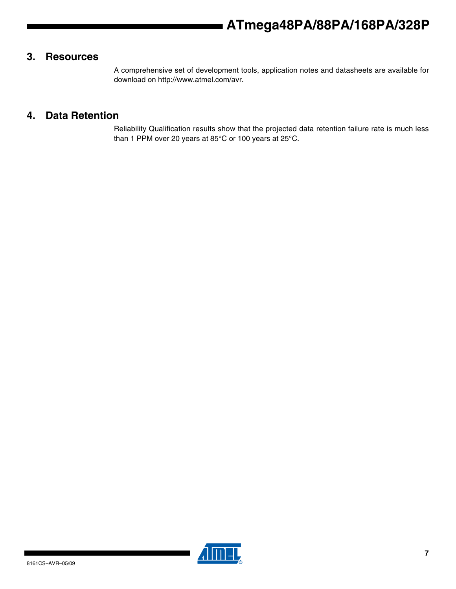### **3. Resources**

A comprehensive set of development tools, application notes and datasheets are available for download on http://www.atmel.com/avr.

### **4. Data Retention**

Reliability Qualification results show that the projected data retention failure rate is much less than 1 PPM over 20 years at 85°C or 100 years at 25°C.

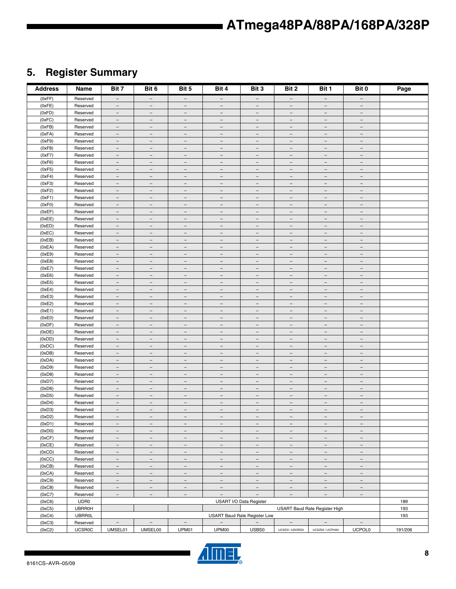## **5. Register Summary**

| <b>Address</b>   | Name                 | Bit 7                                                | Bit 6                                                | Bit 5                                                | Bit 4                                                | Bit 3                                                | Bit 2                                                | Bit 1                                                | Bit 0                                                | Page    |
|------------------|----------------------|------------------------------------------------------|------------------------------------------------------|------------------------------------------------------|------------------------------------------------------|------------------------------------------------------|------------------------------------------------------|------------------------------------------------------|------------------------------------------------------|---------|
| (0xFF)           | Reserved             | $-$                                                  | $\overline{\phantom{m}}$                             | $-$                                                  | $-$                                                  | $-$                                                  | $\overline{\phantom{m}}$                             | $-$                                                  | $-$                                                  |         |
| (0xFE)           | Reserved             | $\qquad \qquad -$                                    | $\overline{\phantom{m}}$                             | $\overline{\phantom{0}}$                             | $\overline{\phantom{0}}$                             | ٠                                                    | $\overbrace{\phantom{1232211}}$                      | $\sim$                                               | $\equiv$                                             |         |
| (0xFD)           | Reserved             | $\equiv$                                             | $\overline{\phantom{a}}$                             | $\equiv$                                             | $\equiv$                                             | $\equiv$                                             | $\overline{\phantom{a}}$                             | $\equiv$                                             | $\equiv$                                             |         |
| (0xFC)           | Reserved             | $\overline{\phantom{a}}$                             | $\equiv$                                             | $\overline{\phantom{a}}$                             | $\overline{\phantom{m}}$                             | $\overline{\phantom{a}}$                             | $\overline{\phantom{m}}$                             | $\overline{\phantom{m}}$                             | $\overbrace{\phantom{1232211}}$                      |         |
| (0xFB)           | Reserved             | $\overline{\phantom{a}}$                             | $\overline{\phantom{a}}$                             | $\qquad \qquad -$                                    | $\qquad \qquad -$                                    | $\overline{\phantom{a}}$                             | $\overline{\phantom{0}}$                             | $\overline{\phantom{0}}$                             | $\overline{\phantom{0}}$                             |         |
| (0xFA)           | Reserved             | $\overline{\phantom{a}}$                             | $\overline{\phantom{m}}$                             | $\overline{\phantom{a}}$                             | $\overline{\phantom{m}}$                             | $\overline{\phantom{a}}$                             | $\overline{\phantom{a}}$                             | $\overline{\phantom{a}}$                             | $\overline{\phantom{a}}$                             |         |
| (0xF9)           | Reserved             | $\overline{\phantom{m}}$                             | $\overline{\phantom{m}}$                             | $\overline{\phantom{m}}$                             | $\overline{\phantom{m}}$                             | $\overline{\phantom{m}}$                             | $\overline{\phantom{m}}$                             | $\overline{\phantom{m}}$                             | $\overbrace{\phantom{1232211}}$                      |         |
| (0xF8)           | Reserved             | $\overline{\phantom{a}}$<br>$\overline{\phantom{a}}$ | $\overline{\phantom{m}}$<br>$\overline{\phantom{m}}$ | $\overline{\phantom{a}}$<br>$\overline{\phantom{a}}$ | $\overline{\phantom{m}}$<br>$\qquad \qquad -$        | $\overline{\phantom{m}}$<br>$\overline{\phantom{a}}$ | $\overline{\phantom{m}}$<br>$\overline{\phantom{a}}$ | $\overline{\phantom{a}}$<br>$\overline{\phantom{a}}$ | $\overline{\phantom{m}}$<br>$\overline{\phantom{0}}$ |         |
| (0xF7)<br>(0xF6) | Reserved<br>Reserved | $\overline{\phantom{a}}$                             | $\equiv$                                             | $\overline{\phantom{m}}$                             | $\equiv$                                             | $\equiv$                                             | $\overline{\phantom{a}}$                             | $\equiv$                                             | $\qquad \qquad =$                                    |         |
| (0xF5)           | Reserved             | $\overline{\phantom{a}}$                             | $\overline{\phantom{a}}$                             | $\overline{\phantom{a}}$                             | $\overline{\phantom{a}}$                             | $\overline{\phantom{a}}$                             | $\overline{\phantom{a}}$                             | $\overline{\phantom{a}}$                             | $\overline{\phantom{a}}$                             |         |
| (0xF4)           | Reserved             | $\overline{\phantom{a}}$                             | $\overline{\phantom{m}}$                             | $\overline{\phantom{m}}$                             | $\overline{\phantom{m}}$                             | $\overline{\phantom{m}}$                             | $\overline{\phantom{m}}$                             | $\overline{\phantom{m}}$                             | $\overline{\phantom{m}}$                             |         |
| (0xF3)           | Reserved             | $-$                                                  | $\overline{\phantom{m}}$                             | $\overline{\phantom{m}}$                             | $\overline{\phantom{m}}$                             | $\overline{\phantom{m}}$                             | $\overline{\phantom{m}}$                             | $\overline{\phantom{m}}$                             | $\overline{\phantom{m}}$                             |         |
| (0xF2)           | Reserved             | $\qquad \qquad -$                                    | $\equiv$                                             | $\overline{\phantom{0}}$                             | $\equiv$                                             | $\overline{\phantom{m}}$                             | $\overline{\phantom{0}}$                             | $\overline{\phantom{0}}$                             | $\overline{\phantom{0}}$                             |         |
| (0xF1)           | Reserved             | $\equiv$                                             | $\equiv$                                             | $\equiv$                                             | $\equiv$                                             | $\equiv$                                             | $\equiv$                                             | $\equiv$                                             | $\overline{\phantom{a}}$                             |         |
| (0xF0)           | Reserved             | $\overline{\phantom{m}}$                             | $\equiv$                                             | $\overline{\phantom{m}}$                             | $\overline{\phantom{m}}$                             | $\overline{\phantom{a}}$                             | $\overline{\phantom{m}}$                             | $\overline{\phantom{m}}$                             | $\overline{\phantom{0}}$                             |         |
| (0xEF)           | Reserved             | $\overline{\phantom{a}}$                             | $\overline{\phantom{m}}$                             | $\qquad \qquad -$                                    | $\qquad \qquad -$                                    | $\overline{\phantom{a}}$                             | $\overline{\phantom{a}}$                             | $\overline{\phantom{0}}$                             | $\overline{\phantom{0}}$                             |         |
| (0xEE)           | Reserved             | $\overline{\phantom{a}}$                             | $\overline{\phantom{m}}$                             | $\overline{\phantom{a}}$                             | $\overline{\phantom{a}}$                             | $\overline{\phantom{a}}$                             | $\overline{\phantom{m}}$                             | $\overline{\phantom{a}}$                             | $\overline{\phantom{a}}$                             |         |
| (0xED)           | Reserved             | $\overline{\phantom{m}}$                             | $\overline{\phantom{m}}$                             | $\overline{\phantom{m}}$                             | $\overline{\phantom{m}}$                             | $\overline{\phantom{m}}$                             | $\overline{\phantom{m}}$                             | $\overline{\phantom{m}}$                             | $\overline{\phantom{0}}$                             |         |
| (0xEC)           | Reserved             | $\overline{\phantom{a}}$                             | $\overline{\phantom{m}}$                             | $\overline{\phantom{a}}$                             | $\overline{\phantom{m}}$                             | $\overline{\phantom{m}}$                             | $\overline{\phantom{m}}$                             | $\overline{\phantom{a}}$                             | $\overline{\phantom{a}}$                             |         |
| (0xEB)           | Reserved             | $\overline{\phantom{a}}$                             | $\overline{\phantom{a}}$                             | $\overline{\phantom{a}}$                             | $\qquad \qquad -$                                    | $\overline{\phantom{a}}$                             | $\overline{\phantom{m}}$                             | $\overline{\phantom{a}}$                             | $\overline{\phantom{0}}$                             |         |
| (0xEA)           | Reserved             | $\overline{\phantom{a}}$                             | $\equiv$                                             | $\overline{\phantom{m}}$                             | $\equiv$                                             | $\equiv$                                             | $\overline{\phantom{m}}$                             | $\overline{\phantom{m}}$                             | $\qquad \qquad =$                                    |         |
| (0xE9)           | Reserved             | $\overline{\phantom{a}}$                             | $\overline{\phantom{a}}$                             | $\qquad \qquad -$                                    | $\qquad \qquad -$                                    | $\overline{\phantom{a}}$                             | $\overline{\phantom{a}}$                             | $\overline{\phantom{a}}$                             | $\qquad \qquad -$                                    |         |
| (0xE8)           | Reserved             | $\overline{\phantom{a}}$                             | $\overline{\phantom{m}}$                             | $\overline{\phantom{m}}$                             | $\overline{\phantom{m}}$                             | $\overline{\phantom{m}}$                             | $\overline{\phantom{m}}$                             | $\overline{\phantom{m}}$                             | $\overline{\phantom{m}}$                             |         |
| (0xE7)           | Reserved             | $-$                                                  | $\overline{\phantom{m}}$                             | $\overline{\phantom{m}}$                             | $\overline{\phantom{m}}$                             | $\overline{\phantom{m}}$                             | $\overline{\phantom{m}}$                             | $\overline{\phantom{m}}$                             | $\overline{\phantom{a}}$                             |         |
| (0xE6)           | Reserved             | $\qquad \qquad -$                                    | $\overline{\phantom{m}}$                             | $\overline{\phantom{0}}$                             | $\overline{\phantom{m}}$                             | $\overline{\phantom{m}}$                             | $\overline{\phantom{0}}$                             | $\overline{\phantom{0}}$                             | $\overline{\phantom{0}}$                             |         |
| (0xE5)           | Reserved             | $\equiv$                                             | $\equiv$                                             | $\equiv$                                             | $\equiv$                                             | $\equiv$                                             | $\equiv$                                             | $\equiv$                                             | $\equiv$                                             |         |
| (0xE4)           | Reserved             | $\overline{\phantom{m}}$                             | $\equiv$                                             | $\overline{\phantom{m}}$                             | $\overline{\phantom{m}}$                             | $\overline{\phantom{a}}$                             | $\overline{\phantom{m}}$                             | $\overline{\phantom{m}}$                             | $\overline{\phantom{0}}$                             |         |
| (0xE3)           | Reserved<br>Reserved | $\overline{\phantom{a}}$                             | $\overline{\phantom{m}}$                             | $\qquad \qquad -$                                    | $\overline{\phantom{0}}$                             | $\overline{\phantom{a}}$                             | $\overline{\phantom{0}}$                             | $\overline{\phantom{0}}$                             | $\overline{\phantom{0}}$                             |         |
| (0xE2)<br>(0xE1) | Reserved             | $\overline{\phantom{a}}$                             | $\overline{\phantom{m}}$<br>$\overline{\phantom{a}}$ | $\overline{\phantom{a}}$<br>$\overline{\phantom{m}}$ | $\overline{\phantom{a}}$<br>$\overline{\phantom{m}}$ | $\overline{\phantom{a}}$<br>$\overline{\phantom{m}}$ | $\overline{\phantom{a}}$<br>$\overline{\phantom{m}}$ | $\overline{\phantom{a}}$<br>$\overline{\phantom{m}}$ | $\overline{\phantom{a}}$<br>$\overline{\phantom{0}}$ |         |
| (0xE0)           | Reserved             | $\overline{\phantom{a}}$<br>$\overline{\phantom{a}}$ | $\overline{\phantom{m}}$                             | $\overline{\phantom{a}}$                             | $\overline{\phantom{m}}$                             | $\overline{\phantom{m}}$                             | $\overline{\phantom{m}}$                             | $\overline{\phantom{a}}$                             | $\overline{\phantom{a}}$                             |         |
| (0xDF)           | Reserved             | $\overline{\phantom{a}}$                             | $\overline{\phantom{a}}$                             | $\overline{\phantom{a}}$                             | $\qquad \qquad -$                                    | $\equiv$                                             | $\overline{\phantom{a}}$                             | $\overline{\phantom{a}}$                             | $\overline{\phantom{0}}$                             |         |
| (0xDE)           | Reserved             | $\overline{\phantom{a}}$                             | $\equiv$                                             | $\overline{\phantom{m}}$                             | $\equiv$                                             | $\overline{\phantom{a}}$                             | $\overline{\phantom{m}}$                             | $\overline{\phantom{m}}$                             | $\qquad \qquad =$                                    |         |
| (0xDD)           | Reserved             | $\overline{\phantom{a}}$                             | $\overline{\phantom{a}}$                             | $\qquad \qquad -$                                    | $\overline{\phantom{a}}$                             | $\overline{\phantom{a}}$                             | $\overline{\phantom{a}}$                             | $\overline{\phantom{a}}$                             | $\overline{\phantom{a}}$                             |         |
| (0xDC)           | Reserved             | $\overline{\phantom{a}}$                             | $\overline{\phantom{m}}$                             | $\overline{\phantom{m}}$                             | $\overline{\phantom{m}}$                             | $\overline{\phantom{m}}$                             | $\overline{\phantom{m}}$                             | $\overline{\phantom{m}}$                             | $\overline{\phantom{m}}$                             |         |
| (0xDB)           | Reserved             | $-$                                                  | $\overline{\phantom{m}}$                             | $\overline{\phantom{m}}$                             | $\overline{\phantom{m}}$                             | $\overline{\phantom{m}}$                             | $\overline{\phantom{m}}$                             | $\overline{\phantom{m}}$                             | $\overline{\phantom{a}}$                             |         |
| (0xDA)           | Reserved             | $\qquad \qquad -$                                    | $\overline{\phantom{m}}$                             | $\overline{\phantom{0}}$                             | $\equiv$                                             | $\overline{\phantom{m}}$                             | $\overline{\phantom{0}}$                             | $\overline{\phantom{0}}$                             | $\overline{\phantom{0}}$                             |         |
| (0xD9)           | Reserved             | $\equiv$                                             | $\overline{\phantom{a}}$                             | $\equiv$                                             | $\equiv$                                             | $\equiv$                                             | $\equiv$                                             | $\equiv$                                             | $\equiv$                                             |         |
| (0xD8)           | Reserved             | $\overline{\phantom{m}}$                             | $\overline{\phantom{a}}$                             | $\overline{\phantom{m}}$                             | $\overline{\phantom{m}}$                             | $\overline{\phantom{a}}$                             | $\overline{\phantom{m}}$                             | $\overline{\phantom{m}}$                             | $\overline{\phantom{0}}$                             |         |
| (0xD7)           | Reserved             | $\overline{\phantom{a}}$                             | $\overline{\phantom{a}}$                             | $\qquad \qquad -$                                    | $\overline{\phantom{0}}$                             | $\overline{\phantom{a}}$                             | $\overline{\phantom{0}}$                             | $\overline{\phantom{0}}$                             | $\overline{\phantom{0}}$                             |         |
| (0xD6)           | Reserved             | $\overline{\phantom{a}}$                             | $\overline{\phantom{m}}$                             | $\overline{\phantom{a}}$                             | $\overline{\phantom{a}}$                             | $\overline{\phantom{a}}$                             | $\overline{\phantom{m}}$                             | $\overline{\phantom{m}}$                             | $\overline{\phantom{a}}$                             |         |
| (0xD5)           | Reserved             | $\overline{\phantom{a}}$                             | $\overline{\phantom{m}}$                             | $\overline{\phantom{m}}$                             | $\overline{\phantom{m}}$                             | $\overline{\phantom{m}}$                             | $\overline{\phantom{m}}$                             | $\overline{\phantom{m}}$                             | $\overline{\phantom{0}}$                             |         |
| (0xD4)           | Reserved             | $\overline{\phantom{a}}$                             | $\overline{\phantom{a}}$                             | $\overline{\phantom{a}}$                             | $\overline{\phantom{m}}$                             | $\overline{\phantom{m}}$                             | $\overline{\phantom{a}}$                             | $\overline{\phantom{a}}$                             | $\overline{\phantom{a}}$                             |         |
| (0xD3)           | Reserved             | $\overline{\phantom{0}}$                             | $\overline{\phantom{a}}$                             | $\overline{\phantom{a}}$                             | $\overline{\phantom{a}}$                             | $\overline{\phantom{0}}$                             | $\qquad \qquad -$                                    | $\overline{\phantom{a}}$                             | $\overline{\phantom{a}}$                             |         |
| (0xD2)           | Reserved             |                                                      |                                                      |                                                      |                                                      |                                                      |                                                      |                                                      |                                                      |         |
| (0xD1)<br>(0xD0) | Reserved<br>Reserved | $\overline{\phantom{a}}$<br>$\overline{\phantom{a}}$ | $\overline{\phantom{a}}$<br>$\overline{\phantom{m}}$ | $\overline{\phantom{a}}$<br>$\overline{\phantom{a}}$ | $\overline{\phantom{a}}$<br>$\overline{\phantom{a}}$ | $\overline{\phantom{a}}$<br>$\overline{\phantom{a}}$ | $\overline{\phantom{a}}$<br>$\overline{\phantom{a}}$ | $\overline{\phantom{a}}$<br>$\overline{\phantom{a}}$ | $\overline{\phantom{a}}$<br>$\overline{\phantom{a}}$ |         |
| (0xCF)           | Reserved             | $\overline{\phantom{a}}$                             | $\overline{\phantom{a}}$                             | $\overline{\phantom{a}}$                             | $-$                                                  | $\overline{\phantom{m}}$                             | $\overline{\phantom{m}}$                             | $\overline{\phantom{m}}$                             | $\overline{\phantom{m}}$                             |         |
| (0xCE)           | Reserved             | $\overline{\phantom{a}}$                             | $\overline{\phantom{a}}$                             | $\overline{\phantom{a}}$                             | $\qquad \qquad -$                                    | $\overline{\phantom{a}}$                             | $\overline{\phantom{a}}$                             | $\overline{\phantom{a}}$                             | $\overline{\phantom{a}}$                             |         |
| (0xCD)           | Reserved             | $\equiv$                                             | $\equiv$                                             | $\equiv$                                             | $\equiv$                                             | $\equiv$                                             | $\equiv$                                             | $\equiv$                                             | $\equiv$                                             |         |
| (0xCC)           | Reserved             | $\overline{\phantom{a}}$                             | $\overline{\phantom{m}}$                             | $\overline{\phantom{a}}$                             | $\overline{\phantom{m}}$                             | $\overline{\phantom{a}}$                             | $\overline{\phantom{a}}$                             | $\overline{\phantom{a}}$                             | $\overline{\phantom{a}}$                             |         |
| (0xCB)           | Reserved             | $\overline{\phantom{a}}$                             | $\overline{\phantom{a}}$                             | $\overline{\phantom{m}}$                             | $\qquad \qquad -$                                    | $\overline{\phantom{a}}$                             | $\overline{\phantom{a}}$                             | $\overline{\phantom{a}}$                             | $\overline{\phantom{a}}$                             |         |
| (0xCA)           | Reserved             | $\overline{\phantom{a}}$                             | $\overline{\phantom{a}}$                             | $\overline{\phantom{a}}$                             | $\overline{\phantom{a}}$                             | $\overline{\phantom{a}}$                             | $\overline{\phantom{a}}$                             | $\overline{\phantom{a}}$                             | $\overline{\phantom{a}}$                             |         |
| (0xC9)           | Reserved             | $\overline{\phantom{a}}$                             | $\overline{\phantom{m}}$                             | $\overline{\phantom{a}}$                             | $\overline{\phantom{m}}$                             | $\overline{\phantom{m}}$                             | $\overline{\phantom{m}}$                             | $\overline{\phantom{m}}$                             | $\overline{\phantom{a}}$                             |         |
| (0xC8)           | Reserved             | $\overline{\phantom{a}}$                             | $\overline{\phantom{m}}$                             | $\overline{\phantom{a}}$                             | $\overline{\phantom{m}}$                             | $-$                                                  | $\overline{\phantom{m}}$                             | $\overline{\phantom{m}}$                             | $\overline{\phantom{m}}$                             |         |
| (0xC7)           | Reserved             | $\overline{\phantom{0}}$                             | $\qquad \qquad -$                                    | $\overline{\phantom{a}}$                             | $\overline{\phantom{a}}$                             | $\overline{\phantom{a}}$                             | $\overline{\phantom{a}}$                             | $\overline{\phantom{a}}$                             | $\overline{\phantom{a}}$                             |         |
| (0xC6)           | UDR0                 |                                                      |                                                      |                                                      |                                                      | USART I/O Data Register                              |                                                      |                                                      |                                                      | 189     |
| (0xC5)           | <b>UBRR0H</b>        |                                                      |                                                      |                                                      |                                                      |                                                      |                                                      | <b>USART Baud Rate Register High</b>                 |                                                      | 193     |
| (0xC4)           | <b>UBRR0L</b>        |                                                      |                                                      |                                                      |                                                      | USART Baud Rate Register Low                         |                                                      |                                                      |                                                      | 193     |
| (0xC3)           | Reserved             | $\overline{\phantom{a}}$                             | $\overline{\phantom{a}}$                             | $\overline{\phantom{m}}$                             | $\overline{\phantom{a}}$                             | $\overline{\phantom{a}}$                             | $\overline{\phantom{a}}$                             | $\overline{\phantom{m}}$                             | $\overline{\phantom{a}}$                             |         |
| (0xC2)           | <b>UCSR0C</b>        | UMSEL01                                              | UMSEL00                                              | UPM01                                                | UPM00                                                | USBS0                                                | UCSZ01 /UDORD0                                       | UCSZ00 / UCPHA0                                      | <b>UCPOL0</b>                                        | 191/206 |

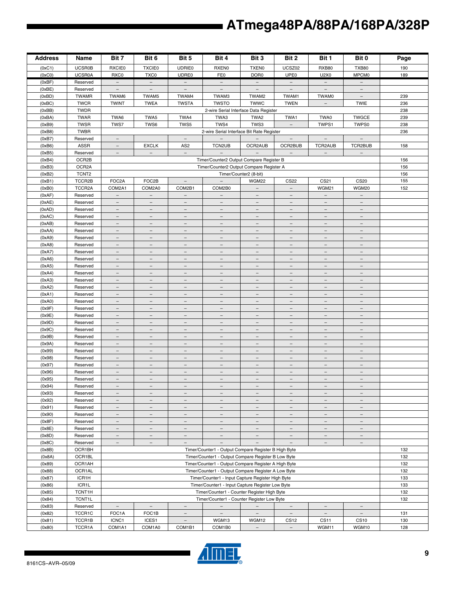| <b>Address</b>   | Name                 | Bit 7                                               | Bit 6                                                | Bit 5                                  | Bit 4                                                | Bit 3                           | Bit 2                                         | Bit 1                                | Bit 0                                                | Page |
|------------------|----------------------|-----------------------------------------------------|------------------------------------------------------|----------------------------------------|------------------------------------------------------|---------------------------------|-----------------------------------------------|--------------------------------------|------------------------------------------------------|------|
| (0xC1)           | <b>UCSR0B</b>        | <b>RXCIE0</b>                                       | <b>TXCIE0</b>                                        | <b>UDRIE0</b>                          | <b>RXEN0</b>                                         | <b>TXEN0</b>                    | UCSZ02                                        | <b>RXB80</b>                         | <b>TXB80</b>                                         | 190  |
| (0xC0)           | <b>UCSR0A</b>        | RXC0                                                | TXC0                                                 | UDRE0                                  | FE0                                                  | DOR <sub>0</sub>                | UPE <sub>0</sub>                              | U2X0                                 | <b>MPCM0</b>                                         | 189  |
| (0xBF)           | Reserved             | $\overline{\phantom{0}}$                            | $\overline{\phantom{a}}$                             | $\overline{\phantom{a}}$               | $-$                                                  | $\overline{\phantom{0}}$        | $-$                                           | $\overline{\phantom{a}}$             | $\equiv$                                             |      |
| (0xBE)           | Reserved             | $\overline{\phantom{a}}$                            | $\overline{\phantom{a}}$                             | $\overline{\phantom{a}}$               | $\overline{\phantom{a}}$                             | $\overline{\phantom{a}}$        | $\overline{\phantom{a}}$                      | $\overline{\phantom{a}}$             | $\overline{\phantom{m}}$                             |      |
| (0xBD)           | <b>TWAMR</b>         | TWAM6                                               | TWAM5                                                | TWAM4                                  | TWAM3                                                | TWAM2                           | TWAM1                                         | <b>TWAM0</b>                         | $\overline{\phantom{a}}$                             | 239  |
| (0xBC)           | <b>TWCR</b>          | <b>TWINT</b>                                        | <b>TWEA</b>                                          | <b>TWSTA</b>                           | <b>TWSTO</b>                                         | <b>TWWC</b>                     | <b>TWEN</b>                                   | $\overline{\phantom{a}}$             | <b>TWIE</b>                                          | 236  |
| (0xBB)           | <b>TWDR</b>          |                                                     |                                                      |                                        | 2-wire Serial Interface Data Register                |                                 |                                               |                                      |                                                      | 238  |
| (0xBA)           | <b>TWAR</b>          | TWA6                                                | TWA5                                                 | TWA4                                   | TWA3                                                 | TWA2                            | TWA1                                          | TWA0                                 | <b>TWGCE</b>                                         | 239  |
| (0xB9)           | <b>TWSR</b>          | TWS7                                                | TWS6                                                 | TWS5                                   | TWS4                                                 | TWS3                            | $\overline{\phantom{a}}$                      | TWPS1                                | TWPS0                                                | 238  |
| (0xB8)           | <b>TWBR</b>          |                                                     |                                                      |                                        | 2-wire Serial Interface Bit Rate Register            |                                 |                                               |                                      |                                                      | 236  |
| (0xB7)           | Reserved             | $\overline{\phantom{m}}$                            |                                                      | $\overline{\phantom{a}}$               |                                                      |                                 | $\overline{\phantom{a}}$                      | $\overline{\phantom{a}}$             | $\overline{\phantom{a}}$                             |      |
| (0xB6)           | <b>ASSR</b>          | $\overline{\phantom{m}}$                            | <b>EXCLK</b>                                         | AS <sub>2</sub>                        | TCN2UB                                               | OCR2AUB                         | OCR2BUB                                       | TCR2AUB                              | TCR2BUB                                              | 158  |
| (0xB5)           | Reserved             | $\overline{\phantom{m}}$                            | $\overline{\phantom{a}}$                             | $\overline{\phantom{a}}$               | $\overline{\phantom{a}}$                             | $\overline{\phantom{a}}$        | $\overline{\phantom{m}}$                      | $\overline{\phantom{a}}$             | $\overline{\phantom{m}}$                             |      |
| (0xB4)           | OCR2B                |                                                     |                                                      |                                        | Timer/Counter2 Output Compare Register B             |                                 |                                               |                                      |                                                      | 156  |
| (0xB3)           | OCR <sub>2</sub> A   |                                                     |                                                      |                                        | Timer/Counter2 Output Compare Register A             |                                 |                                               |                                      |                                                      | 156  |
| (0xB2)           | TCNT <sub>2</sub>    |                                                     |                                                      |                                        |                                                      | Timer/Counter2 (8-bit)          |                                               |                                      |                                                      | 156  |
| (0xB1)           | TCCR2B               | FOC2A                                               | FOC2B                                                | $\qquad \qquad -$                      |                                                      | <b>WGM22</b>                    | <b>CS22</b>                                   | CS21                                 | <b>CS20</b>                                          | 155  |
| (0xB0)           | TCCR2A               | COM2A1                                              | COM2A0                                               | COM2B1                                 | COM2B0                                               | $\overline{\phantom{a}}$        | $\overline{\phantom{a}}$                      | WGM21                                | WGM20                                                | 152  |
| (0xAF)           | Reserved             | $\overline{\phantom{m}}$                            | $\overline{\phantom{m}}$                             | $\qquad \qquad -$                      | $\overline{\phantom{m}}$                             | $\overline{\phantom{m}}$        | $\overline{\phantom{m}}$                      | $\overline{\phantom{m}}$             | $\overline{\phantom{m}}$                             |      |
| (0xAE)           | Reserved             | $\equiv$                                            | $\equiv$                                             | $\equiv$                               | $\equiv$                                             | $\equiv$                        | $\overline{\phantom{m}}$                      | $\overline{\phantom{a}}$             | $\overline{\phantom{a}}$                             |      |
| (0xAD)           | Reserved             | $\overline{\phantom{a}}$                            | $\overline{\phantom{0}}$                             | $\overline{\phantom{0}}$               | $\equiv$                                             | $\overline{\phantom{m}}$        | $\overline{\phantom{a}}$                      | $\overline{\phantom{0}}$             | $\overline{\phantom{0}}$                             |      |
| (0xAC)           | Reserved             | $\overline{\phantom{a}}$                            | $\overline{\phantom{a}}$                             | $\qquad \qquad -$                      | $\overline{\phantom{m}}$                             | $\overline{\phantom{a}}$        | $\overline{\phantom{a}}$                      | $\overline{\phantom{m}}$             | $\overline{\phantom{m}}$                             |      |
| (0xAB)           | Reserved             | $\overline{\phantom{a}}$                            | $\overline{\phantom{a}}$                             | $\overline{\phantom{a}}$               | $\qquad \qquad -$                                    | $\overline{\phantom{a}}$        | $\overline{\phantom{a}}$                      | $\overline{\phantom{a}}$             | $\qquad \qquad -$                                    |      |
| (0xAA)           | Reserved             | $\overline{\phantom{m}}$                            | $\qquad \qquad -$                                    | $\qquad \qquad -$                      |                                                      | $\overline{\phantom{m}}$        | $\overline{\phantom{m}}$                      | $\qquad \qquad -$                    |                                                      |      |
| (0xA9)           | Reserved             | $\overline{\phantom{m}}$                            | $\overline{\phantom{a}}$<br>$\overline{\phantom{0}}$ | $\overline{\phantom{a}}$               | $\overline{\phantom{m}}$<br>$\overline{\phantom{0}}$ | $-$<br>$\overline{\phantom{0}}$ | $\overline{\phantom{m}}$<br>$\qquad \qquad -$ | $\overline{\phantom{m}}$             | $\overline{\phantom{m}}$<br>$\overline{\phantom{0}}$ |      |
| (0xA8)           | Reserved             | $\qquad \qquad -$<br>$\equiv$                       | $\qquad \qquad -$                                    | $\qquad \qquad -$<br>$\qquad \qquad -$ | $\equiv$                                             | $\equiv$                        | $\overline{\phantom{a}}$                      | $\overline{\phantom{a}}$<br>$\equiv$ | $\equiv$                                             |      |
| (0xA7)<br>(0xA6) | Reserved<br>Reserved | $\overline{\phantom{a}}$                            | $\overline{\phantom{a}}$                             | $\overline{\phantom{a}}$               | $\overline{\phantom{m}}$                             | $\overline{\phantom{a}}$        | $\overline{\phantom{m}}$                      | $\overline{\phantom{a}}$             | $\overline{\phantom{m}}$                             |      |
| (0xA5)           |                      | $\qquad \qquad -$                                   | $\overline{\phantom{m}}$                             | $\qquad \qquad -$                      | $\qquad \qquad -$                                    | $\qquad \qquad -$               | $\overline{\phantom{m}}$                      | $\overline{\phantom{m}}$             | $\qquad \qquad -$                                    |      |
| (0xA4)           | Reserved<br>Reserved | $\overline{\phantom{a}}$                            | $\overline{\phantom{a}}$                             | $\overline{\phantom{a}}$               | $\overline{\phantom{m}}$                             | $\overline{\phantom{a}}$        | $\overline{\phantom{a}}$                      | $\overline{\phantom{a}}$             | $\overline{\phantom{m}}$                             |      |
| (0xA3)           | Reserved             | $\overline{\phantom{m}}$                            | $\overline{\phantom{a}}$                             | $\overline{\phantom{0}}$               | $\overline{\phantom{m}}$                             | $\overline{\phantom{m}}$        | $\overline{\phantom{m}}$                      | $\overline{\phantom{m}}$             | $\overline{\phantom{m}}$                             |      |
| (0xA2)           | Reserved             | $\equiv$                                            | $\equiv$                                             | $\equiv$                               | $\equiv$                                             | $\equiv$                        | $\equiv$                                      | $\equiv$                             | $\overline{\phantom{a}}$                             |      |
| (0xA1)           | Reserved             | $\overline{\phantom{a}}$                            | $\overline{\phantom{m}}$                             | $\overline{\phantom{0}}$               | $\overline{\phantom{0}}$                             | $\overline{\phantom{m}}$        | $\overline{\phantom{m}}$                      | $\qquad \qquad -$                    | $\overline{\phantom{a}}$                             |      |
| (0xA0)           | Reserved             | $\overline{\phantom{m}}$                            | $\equiv$                                             | $\equiv$                               | $\equiv$                                             | $\overline{\phantom{m}}$        | $\overline{\phantom{m}}$                      | $\equiv$                             | $\qquad \qquad =$                                    |      |
| (0x9F)           | Reserved             | $\overline{\phantom{a}}$                            | $\overline{\phantom{a}}$                             | $\overline{\phantom{a}}$               | $\overline{\phantom{a}}$                             | $\overline{\phantom{a}}$        | $\overline{\phantom{a}}$                      | $\overline{\phantom{a}}$             | $\overline{\phantom{m}}$                             |      |
| (0x9E)           | Reserved             | $\qquad \qquad -$                                   | $\qquad \qquad -$                                    | $\qquad \qquad -$                      |                                                      | $\overline{\phantom{m}}$        | $\overline{\phantom{m}}$                      | $\qquad \qquad -$                    |                                                      |      |
| (0x9D)           | Reserved             | $\overline{\phantom{m}}$                            | $\overline{\phantom{a}}$                             | $\overline{\phantom{a}}$               | $\overline{\phantom{m}}$                             | $\overline{\phantom{a}}$        | $\overline{\phantom{a}}$                      | $\overline{\phantom{m}}$             | $\overline{\phantom{m}}$                             |      |
| (0x9C)           | Reserved             | $\qquad \qquad -$                                   | $\overline{\phantom{0}}$                             | $\qquad \qquad -$                      | $\overline{\phantom{0}}$                             | $\qquad \qquad -$               | $\qquad \qquad -$                             | $\equiv$                             | $\overline{\phantom{0}}$                             |      |
| (0x9B)           | Reserved             | $\overline{\phantom{a}}$                            | $\overline{\phantom{a}}$                             | $\qquad \qquad -$                      | $\qquad \qquad -$                                    | $\equiv$                        | $\overline{\phantom{m}}$                      | $\equiv$                             | $\overline{\phantom{a}}$                             |      |
| (0x9A)           | Reserved             | $\overline{\phantom{a}}$                            | $\overline{\phantom{m}}$                             | $\overline{\phantom{a}}$               | $\overline{\phantom{m}}$                             | $\overline{\phantom{a}}$        | $\overline{\phantom{m}}$                      | $\overline{\phantom{a}}$             | $\overline{\phantom{m}}$                             |      |
| (0x99)           | Reserved             | $\qquad \qquad -$                                   | $\overline{\phantom{m}}$                             | $\overline{\phantom{0}}$               |                                                      | $\overline{\phantom{m}}$        | $\overline{\phantom{m}}$                      | $\overline{\phantom{m}}$             |                                                      |      |
| (0x98)           | Reserved             | $\overline{\phantom{m}}$                            | $\overline{\phantom{m}}$                             | $\overline{\phantom{a}}$               | $\overline{\phantom{0}}$                             | $\overline{\phantom{a}}$        | $\overline{\phantom{a}}$                      | $\overline{\phantom{m}}$             | $\overline{\phantom{m}}$                             |      |
| (0x97)           | Reserved             | $\overline{\phantom{m}}$                            | $\overline{\phantom{m}}$                             | $\overline{\phantom{m}}$               | $\overline{\phantom{m}}$                             | $\overline{\phantom{m}}$        | $\overline{\phantom{m}}$                      | $\overline{\phantom{m}}$             | $\overline{\phantom{m}}$                             |      |
| (0x96)           | Reserved             | $\equiv$                                            | $\equiv$                                             | $\equiv$                               | $\equiv$                                             | $\equiv$                        | $\equiv$                                      | $\equiv$                             | $\overline{\phantom{a}}$                             |      |
| (0x95)           | Reserved             | $\overline{\phantom{a}}$                            | $\overline{\phantom{m}}$                             | $\overline{\phantom{a}}$               | $\overline{\phantom{0}}$                             | $\overline{\phantom{m}}$        | $\overline{\phantom{a}}$                      | $\overline{\phantom{a}}$             | $\qquad \qquad -$                                    |      |
| (0x94)           | Reserved             |                                                     |                                                      |                                        |                                                      |                                 |                                               |                                      |                                                      |      |
| (0x93)           | Reserved             | $\overline{\phantom{a}}$                            | $\overline{\phantom{a}}$                             | $\overline{\phantom{a}}$               | $\qquad \qquad -$                                    | $\qquad \qquad -$               | $\overline{\phantom{a}}$                      | $\overline{\phantom{a}}$             | $\overline{\phantom{a}}$                             |      |
| (0x92)           | Reserved             | $\overline{\phantom{a}}$                            | $\overline{\phantom{m}}$                             | $\qquad \qquad -$                      |                                                      | $\qquad \qquad -$               | $\overline{\phantom{m}}$                      |                                      |                                                      |      |
| (0x91)           | Reserved             | $-$                                                 | $\overline{\phantom{a}}$                             | $\overline{\phantom{a}}$               | $-$                                                  | $\overline{\phantom{0}}$        | $\overline{\phantom{m}}$                      | $\overline{\phantom{m}}$             | $\overline{\phantom{m}}$                             |      |
| (0x90)           | Reserved             | $\overline{\phantom{0}}$                            | $\overline{\phantom{0}}$                             | $\qquad \qquad -$                      | $\overline{\phantom{0}}$                             | $\overline{\phantom{0}}$        | $\qquad \qquad -$                             | $\overline{\phantom{a}}$             | $\overline{\phantom{0}}$                             |      |
| (0x8F)           | Reserved             | $\equiv$                                            | $\overline{\phantom{a}}$                             | $\qquad \qquad -$                      | $\equiv$                                             | $\overline{\phantom{0}}$        | $\equiv$                                      | $\equiv$                             | $\equiv$                                             |      |
| (0x8E)           | Reserved             | $\overline{\phantom{a}}$                            | $\overline{\phantom{m}}$                             | $\overline{\phantom{a}}$               | $\overline{\phantom{m}}$                             | $\overline{\phantom{a}}$        | $\overline{\phantom{m}}$                      | $\overline{\phantom{m}}$             | $\overline{\phantom{a}}$                             |      |
| (0x8D)           | Reserved             | $\overline{\phantom{0}}$                            | $\overline{\phantom{m}}$                             | $\qquad \qquad -$                      | $\overline{\phantom{m}}$                             | $\overline{\phantom{m}}$        | $\overline{\phantom{m}}$                      | $\overline{\phantom{m}}$             | $\qquad \qquad -$                                    |      |
| (0x8C)           | Reserved             | $\overline{\phantom{a}}$                            | $\overline{\phantom{a}}$                             | $\overline{\phantom{a}}$               | $\equiv$                                             | $\overline{\phantom{a}}$        | $\overline{\phantom{m}}$                      | $\overline{\phantom{m}}$             | $\overline{\phantom{a}}$                             |      |
| (0x8B)           | OCR1BH               |                                                     | Timer/Counter1 - Output Compare Register B High Byte |                                        |                                                      |                                 |                                               | 132                                  |                                                      |      |
| (0x8A)           | OCR1BL               |                                                     | Timer/Counter1 - Output Compare Register B Low Byte  |                                        |                                                      |                                 |                                               | 132                                  |                                                      |      |
| (0x89)           | OCR1AH               |                                                     | Timer/Counter1 - Output Compare Register A High Byte |                                        |                                                      |                                 |                                               | 132                                  |                                                      |      |
| (0x88)           | OCR1AL               | Timer/Counter1 - Output Compare Register A Low Byte |                                                      |                                        |                                                      |                                 | 132                                           |                                      |                                                      |      |
| (0x87)           | ICR1H                |                                                     |                                                      |                                        | Timer/Counter1 - Input Capture Register High Byte    |                                 |                                               |                                      |                                                      | 133  |
| (0x86)           | ICR1L                | Timer/Counter1 - Input Capture Register Low Byte    |                                                      |                                        |                                                      | 133                             |                                               |                                      |                                                      |      |
| (0x85)           | TCNT1H               | Timer/Counter1 - Counter Register High Byte         |                                                      |                                        |                                                      | 132                             |                                               |                                      |                                                      |      |
| (0x84)           | <b>TCNT1L</b>        |                                                     |                                                      |                                        | Timer/Counter1 - Counter Register Low Byte           |                                 |                                               |                                      |                                                      | 132  |
| (0x83)           | Reserved             | $\equiv$                                            | $\equiv$                                             | $\qquad \qquad -$                      | $\overline{\phantom{0}}$                             |                                 | $\equiv$                                      | $\equiv$                             | $\equiv$                                             |      |
| (0x82)           | TCCR1C               | FOC1A                                               | FOC1B                                                | $\overline{\phantom{a}}$               | $\overline{\phantom{m}}$                             | $\overline{\phantom{m}}$        | $\overline{\phantom{m}}$                      | $\overline{\phantom{a}}$             | $\overline{\phantom{m}}$                             | 131  |
| (0x81)           | TCCR1B               | ICNC1                                               | ICES1                                                | $\qquad \qquad -$                      | WGM13                                                | WGM12                           | <b>CS12</b>                                   | <b>CS11</b>                          | <b>CS10</b>                                          | 130  |
| (0x80)           | TCCR1A               | COM1A1                                              | COM1A0                                               | COM1B1                                 | COM1B0                                               | $\overline{\phantom{a}}$        | $\equiv$                                      | WGM11                                | WGM10                                                | 128  |

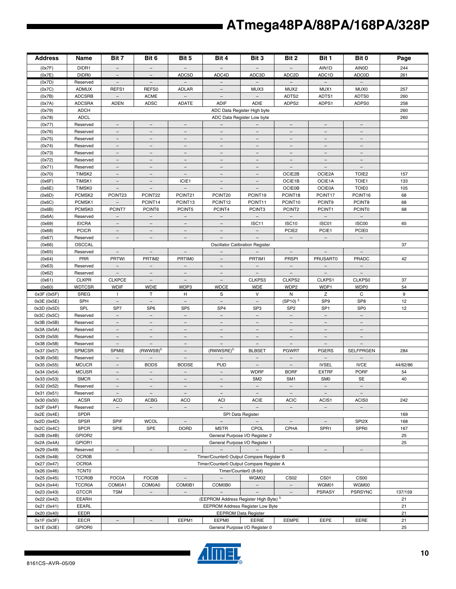| <b>Address</b>   | Name                     | Bit 7                              | Bit 6                                                | Bit 5                              | Bit 4                                    | Bit 3                                                | Bit 2                                  | Bit 1                             | Bit 0                     | Page     |
|------------------|--------------------------|------------------------------------|------------------------------------------------------|------------------------------------|------------------------------------------|------------------------------------------------------|----------------------------------------|-----------------------------------|---------------------------|----------|
| (0x7F)           | DIDR1                    | $\overline{\phantom{a}}$           | $\overline{\phantom{a}}$                             | $\qquad \qquad -$                  |                                          |                                                      |                                        | AIN1D                             | <b>AINOD</b>              | 244      |
| (0x7E)           | DIDR0                    |                                    |                                                      | ADC5D                              | ADC4D                                    | ADC3D                                                | ADC <sub>2D</sub>                      | ADC1D                             | <b>ADCOD</b>              | 261      |
| (0x7D)           | Reserved                 | $\overline{\phantom{a}}$           | $\overline{\phantom{a}}$                             | $\overline{\phantom{a}}$           | $\overline{\phantom{0}}$                 | $\overline{\phantom{a}}$                             | $-$                                    | $\overline{\phantom{m}}$          | $\overline{\phantom{a}}$  |          |
| (0x7C)           | <b>ADMUX</b>             | REFS1                              | REFS0                                                | <b>ADLAR</b>                       | $\overline{\phantom{m}}$                 | MUX3                                                 | MUX <sub>2</sub>                       | MUX1                              | MUX0                      | 257      |
| (0x7B)           | <b>ADCSRB</b>            | $\overline{\phantom{a}}$           | <b>ACME</b>                                          |                                    |                                          |                                                      | ADTS2                                  | ADTS1                             | ADTS0                     | 260      |
| (0x7A)           | <b>ADCSRA</b>            | <b>ADEN</b>                        | <b>ADSC</b>                                          | <b>ADATE</b>                       | <b>ADIF</b>                              | ADIE                                                 | ADPS2                                  | ADPS1                             | ADPS0                     | 258      |
| (0x79)           | <b>ADCH</b>              |                                    |                                                      |                                    |                                          | ADC Data Register High byte                          |                                        |                                   |                           | 260      |
| (0x78)           | <b>ADCL</b>              |                                    |                                                      |                                    |                                          | ADC Data Register Low byte                           |                                        |                                   |                           | 260      |
| (0x77)           | Reserved                 | $\overline{\phantom{0}}$           |                                                      |                                    | $\overline{\phantom{m}}$                 | $\overline{\phantom{m}}$                             | $\overline{\phantom{0}}$               |                                   |                           |          |
| (0x76)           | Reserved                 | $\overline{\phantom{a}}$           | $\equiv$                                             | $\equiv$                           |                                          | $\equiv$                                             | $\equiv$                               |                                   |                           |          |
| (0x75)           | Reserved                 | $\overline{\phantom{a}}$           | $\overline{\phantom{a}}$                             | $\overline{\phantom{a}}$           | $\overline{\phantom{a}}$                 | $\overline{\phantom{a}}$                             | $\overline{\phantom{a}}$               | $\overline{\phantom{a}}$          | $\qquad \qquad -$         |          |
| (0x74)           | Reserved                 | $\qquad \qquad -$                  | $\overline{\phantom{m}}$                             | $\qquad \qquad -$                  |                                          | $\overline{\phantom{m}}$                             | $\overline{\phantom{0}}$               | $\overline{\phantom{a}}$          |                           |          |
| (0x73)           | Reserved                 | $\overline{\phantom{a}}$           | $\overline{\phantom{m}}$                             | $\overline{\phantom{m}}$           | $\overline{\phantom{m}}$                 | $\overline{\phantom{a}}$                             | $\overline{\phantom{m}}$               | $\overline{\phantom{m}}$          | $\overline{\phantom{m}}$  |          |
| (0x72)           | Reserved                 | $\equiv$                           | $\equiv$                                             | $\overline{\phantom{0}}$           |                                          | $\equiv$                                             | $\equiv$                               | $\overline{\phantom{0}}$          |                           |          |
| (0x71)           | Reserved                 | $\equiv$                           | $\overline{\phantom{m}}$                             | $\overline{\phantom{0}}$           | $-$                                      | $\equiv$                                             | $\equiv$                               | $\equiv$                          | $\equiv$                  |          |
| (0x70)           | TIMSK2                   | $\overline{\phantom{a}}$           | $\overline{\phantom{a}}$                             | $\overline{\phantom{a}}$           | $\qquad \qquad -$                        | $\overline{\phantom{a}}$                             | OCIE2B                                 | OCIE2A                            | TOIE <sub>2</sub>         | 157      |
| (0x6F)           | TIMSK1                   | $\overline{\phantom{a}}$           | $\overline{\phantom{a}}$                             | ICIE1                              |                                          | $\overline{\phantom{a}}$                             | OCIE1B                                 | OCIE1A                            | TOIE1                     | 133      |
| (0x6E)           | <b>TIMSK0</b>            | $\overline{\phantom{a}}$           | $\overline{\phantom{a}}$                             | $\overline{\phantom{a}}$           | $\overline{\phantom{a}}$                 | $\overline{\phantom{a}}$                             | <b>OCIE0B</b>                          | <b>OCIE0A</b>                     | <b>TOIE0</b>              | 105      |
| (0x6D)           | PCMSK <sub>2</sub>       | PCINT23                            | PCINT22                                              | PCINT21                            | PCINT20                                  | PCINT19                                              | PCINT18                                | PCINT17                           | PCINT16                   | 68       |
| (0x6C)           | PCMSK1                   | $\overline{\phantom{a}}$           | PCINT14                                              | PCINT13                            | PCINT <sub>12</sub>                      | PCINT11                                              | PCINT10                                | PCINT9                            | PCINT8                    | 68       |
| (0x6B)           | PCMSK0                   | PCINT7<br>$\overline{\phantom{a}}$ | PCINT6<br>$\equiv$                                   | PCINT5<br>$\overline{\phantom{a}}$ | PCINT4<br>$\equiv$                       | PCINT3<br>$\equiv$                                   | PCINT2<br>$\equiv$                     | PCINT1<br>$\equiv$                | <b>PCINT0</b><br>$\equiv$ | 68       |
| (0x6A)           | Reserved                 |                                    |                                                      |                                    |                                          |                                                      |                                        |                                   |                           |          |
| (0x69)           | <b>EICRA</b>             | $\overline{\phantom{a}}$           | $\overline{\phantom{a}}$<br>$\overline{\phantom{m}}$ | $\overline{\phantom{a}}$           | $\overline{\phantom{a}}$                 | ISC11                                                | ISC <sub>10</sub><br>PCIE <sub>2</sub> | ISC01                             | ISC00<br><b>PCIE0</b>     | 65       |
| (0x68)<br>(0x67) | <b>PCICR</b><br>Reserved | $\qquad \qquad -$                  |                                                      | $\overline{\phantom{m}}$           |                                          | $\overline{\phantom{a}}$<br>$\overline{\phantom{a}}$ | $\overline{\phantom{a}}$               | PCIE1<br>$\overline{\phantom{a}}$ | $\equiv$                  |          |
| (0x66)           | OSCCAL                   | $\overline{\phantom{a}}$           | $\overline{\phantom{a}}$                             | $\overline{\phantom{a}}$           |                                          | <b>Oscillator Calibration Register</b>               |                                        |                                   |                           | 37       |
| (0x65)           | Reserved                 | $\equiv$                           | $\equiv$                                             | $\equiv$                           | $\equiv$                                 | $\equiv$                                             | $\equiv$                               | $\equiv$                          | $\equiv$                  |          |
| (0x64)           | PRR                      | <b>PRTWI</b>                       | PRTIM2                                               | <b>PRTIMO</b>                      |                                          | PRTIM1                                               | <b>PRSPI</b>                           | <b>PRUSART0</b>                   | PRADC                     | 42       |
| (0x63)           | Reserved                 | $\overline{\phantom{a}}$           |                                                      |                                    |                                          |                                                      | $\overline{\phantom{a}}$               | $\overline{\phantom{a}}$          |                           |          |
| (0x62)           | Reserved                 | $\overline{\phantom{a}}$           | $\overline{\phantom{a}}$                             | $\overline{\phantom{a}}$           | $\overline{\phantom{a}}$                 | $\overline{\phantom{a}}$                             | $\overline{\phantom{a}}$               | $\overline{\phantom{a}}$          | $\overline{\phantom{a}}$  |          |
| (0x61)           | <b>CLKPR</b>             | <b>CLKPCE</b>                      | $\overline{\phantom{m}}$                             |                                    |                                          | CLKPS3                                               | CLKPS2                                 | CLKPS1                            | CLKPS0                    | 37       |
| (0x60)           | <b>WDTCSR</b>            | <b>WDIF</b>                        | <b>WDIE</b>                                          | WDP3                               | <b>WDCE</b>                              | <b>WDE</b>                                           | WDP2                                   | WDP1                              | WDP0                      | 54       |
| 0x3F (0x5F)      | SREG                     | $\mathbf{I}$                       | Т                                                    | н                                  | S                                        | V                                                    | N                                      | z                                 | C                         | 9        |
| 0x3E (0x5E)      | SPH                      | $\equiv$                           | $\equiv$                                             | $\equiv$                           | $\equiv$                                 | $\equiv$                                             | (SP10) <sup>5.</sup>                   | SP <sub>9</sub>                   | SP <sub>8</sub>           | 12       |
| 0x3D (0x5D)      | SPL                      | SP7                                | SP <sub>6</sub>                                      | SP <sub>5</sub>                    | SP <sub>4</sub>                          | SP <sub>3</sub>                                      | SP <sub>2</sub>                        | SP <sub>1</sub>                   | SP <sub>0</sub>           | 12       |
| 0x3C (0x5C)      | Reserved                 | $\overline{\phantom{a}}$           | $\overline{\phantom{a}}$                             | $\overline{\phantom{a}}$           | $\equiv$                                 | $\overline{\phantom{a}}$                             | $\overline{\phantom{a}}$               | $\overline{\phantom{a}}$          | $\overline{\phantom{a}}$  |          |
| 0x3B (0x5B)      | Reserved                 | $\overline{\phantom{0}}$           | $\overline{\phantom{m}}$                             | $\overline{\phantom{m}}$           | $\overline{\phantom{m}}$                 | $\overline{\phantom{m}}$                             | $\overline{\phantom{m}}$               | $\overline{\phantom{m}}$          | $\overline{\phantom{m}}$  |          |
| 0x3A (0x5A)      | Reserved                 | $\overline{\phantom{0}}$           | $\equiv$                                             | $\overline{\phantom{0}}$           |                                          | $\equiv$                                             | $\overline{\phantom{0}}$               | $\overline{\phantom{m}}$          |                           |          |
| 0x39 (0x59)      | Reserved                 | $\equiv$                           | $\equiv$                                             | $\equiv$                           | $-$                                      | $\equiv$                                             | $\equiv$                               | $\equiv$                          | $\equiv$                  |          |
| 0x38 (0x58)      | Reserved                 | $\overline{\phantom{a}}$           |                                                      | $\qquad \qquad -$                  |                                          | $\equiv$                                             |                                        | $\overline{\phantom{a}}$          |                           |          |
| 0x37 (0x57)      | SPMCSR                   | SPMIE                              | $(RWWSB)^{5}$                                        | $\qquad \qquad -$                  | (RWWSRE) <sup>5.</sup>                   | <b>BLBSET</b>                                        | <b>PGWRT</b>                           | <b>PGERS</b>                      | <b>SELFPRGEN</b>          | 284      |
| 0x36 (0x56)      | Reserved                 | $\qquad \qquad -$                  | $\overline{\phantom{a}}$                             | $\overline{\phantom{a}}$           | $\overline{\phantom{m}}$                 | $\overline{\phantom{a}}$                             | $\overline{\phantom{a}}$               | $\overline{\phantom{a}}$          |                           |          |
| 0x35 (0x55)      | <b>MCUCR</b>             |                                    | <b>BODS</b>                                          | <b>BODSE</b>                       | <b>PUD</b>                               | $\overline{\phantom{m}}$                             |                                        | <b>IVSEL</b>                      | <b>IVCE</b>               | 44/62/86 |
| 0x34 (0x54)      | <b>MCUSR</b>             | $-$                                | $\equiv$                                             | $\equiv$                           | $\equiv$                                 | <b>WDRF</b>                                          | <b>BORF</b>                            | <b>EXTRF</b>                      | PORF                      | 54       |
| 0x33 (0x53)      | <b>SMCR</b>              | $\qquad \qquad -$                  | $\overline{\phantom{m}}$                             | $\overline{\phantom{a}}$           | $\overline{\phantom{m}}$                 | SM <sub>2</sub>                                      | SM <sub>1</sub>                        | SM <sub>0</sub>                   | <b>SE</b>                 | 40       |
| 0x32 (0x52)      | Reserved                 |                                    |                                                      |                                    |                                          |                                                      |                                        |                                   |                           |          |
| 0x31 (0x51)      | Reserved                 | $\overline{\phantom{a}}$           | $\overline{\phantom{a}}$                             | $\overline{\phantom{a}}$           | $\overline{\phantom{a}}$                 | $\overline{\phantom{a}}$                             | $\overline{\phantom{a}}$               | $\overline{\phantom{a}}$          | $\overline{\phantom{a}}$  |          |
| 0x30 (0x50)      | <b>ACSR</b>              | ACD                                | <b>ACBG</b>                                          | <b>ACO</b>                         | <b>ACI</b>                               | <b>ACIE</b>                                          | <b>ACIC</b>                            | ACIS1                             | ACIS0                     | 242      |
| 0x2F (0x4F)      | Reserved                 | $\overline{\phantom{0}}$           | $\overline{\phantom{a}}$                             | $\overline{\phantom{a}}$           | $-$                                      | $\overline{\phantom{a}}$                             | $\overline{\phantom{a}}$               | $\overline{\phantom{a}}$          | $\overline{\phantom{0}}$  |          |
| 0x2E (0x4E)      | SPDR                     |                                    |                                                      |                                    |                                          | SPI Data Register                                    |                                        |                                   |                           | 169      |
| 0x2D (0x4D)      | <b>SPSR</b>              | <b>SPIF</b>                        | <b>WCOL</b>                                          | $\overline{\phantom{a}}$           | $\equiv$                                 | $\equiv$                                             | $\equiv$                               | $\overline{\phantom{a}}$          | SPI <sub>2</sub> X        | 168      |
| 0x2C (0x4C)      | <b>SPCR</b>              | SPIE                               | <b>SPE</b>                                           | <b>DORD</b>                        | <b>MSTR</b>                              | CPOL                                                 | CPHA                                   | SPR1                              | SPR <sub>0</sub>          | 167      |
| 0x2B (0x4B)      | GPIOR2                   |                                    |                                                      |                                    |                                          | General Purpose I/O Register 2                       |                                        |                                   |                           | 25       |
| 0x2A (0x4A)      | GPIOR1                   |                                    |                                                      |                                    |                                          | General Purpose I/O Register 1                       |                                        |                                   |                           | 25       |
| 0x29 (0x49)      | Reserved                 | -                                  |                                                      |                                    | $\sim$                                   |                                                      |                                        |                                   |                           |          |
| 0x28 (0x48)      | <b>OCR0B</b>             |                                    |                                                      |                                    | Timer/Counter0 Output Compare Register B |                                                      |                                        |                                   |                           |          |
| 0x27 (0x47)      | OCR0A                    |                                    | Timer/Counter0 Output Compare Register A             |                                    |                                          |                                                      |                                        |                                   |                           |          |
| 0x26 (0x46)      | <b>TCNT0</b>             |                                    |                                                      |                                    |                                          | Timer/Counter0 (8-bit)                               |                                        |                                   |                           |          |
| 0x25 (0x45)      | <b>TCCR0B</b>            | FOC0A                              | <b>FOC0B</b>                                         | $\overline{\phantom{a}}$           | $\overline{\phantom{0}}$                 | WGM02                                                | CS <sub>02</sub>                       | CS <sub>01</sub>                  | CS <sub>00</sub>          |          |
| 0x24 (0x44)      | <b>TCCR0A</b>            | COM0A1                             | COM0A0                                               | COM0B1                             | COM0B0                                   | $\overline{\phantom{m}}$                             | $\overline{\phantom{a}}$               | WGM01                             | WGM00                     |          |
| 0x23 (0x43)      | <b>GTCCR</b>             | <b>TSM</b>                         | $\overline{\phantom{a}}$                             | $\overline{\phantom{a}}$           |                                          | $\overline{\phantom{a}}$                             | $\overline{\phantom{a}}$               | <b>PSRASY</b>                     | <b>PSRSYNC</b>            | 137/159  |
| 0x22 (0x42)      | EEARH                    |                                    |                                                      |                                    | (EEPROM Address Register High Byte) 5.   |                                                      |                                        |                                   |                           | 21       |
| 0x21 (0x41)      | EEARL                    |                                    |                                                      |                                    | <b>EEPROM Address Register Low Byte</b>  |                                                      |                                        |                                   |                           | 21       |
| 0x20 (0x40)      | EEDR                     |                                    |                                                      |                                    |                                          | <b>EEPROM Data Register</b>                          |                                        |                                   |                           | 21       |
| 0x1F (0x3F)      | <b>EECR</b>              |                                    |                                                      | EEPM1                              | EEPM0                                    | EERIE                                                | EEMPE                                  | EEPE                              | EERE                      | 21       |
| 0x1E (0x3E)      | GPIOR0                   |                                    |                                                      |                                    |                                          | General Purpose I/O Register 0                       |                                        |                                   |                           | 25       |

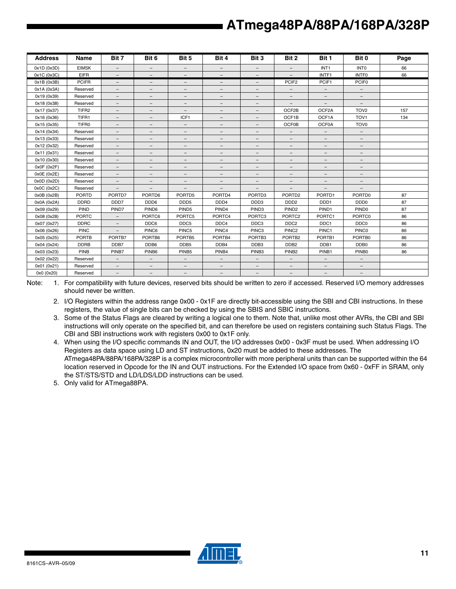| <b>Address</b> | Name              | Bit 7                    | Bit 6                    | Bit 5                    | Bit 4                    | Bit 3                    | Bit 2                    | Bit 1                    | Bit 0                    | Page |
|----------------|-------------------|--------------------------|--------------------------|--------------------------|--------------------------|--------------------------|--------------------------|--------------------------|--------------------------|------|
| 0x1D(0x3D)     | <b>EIMSK</b>      | $\overline{\phantom{a}}$ | $-$                      | $-$                      | $\overline{\phantom{0}}$ | $\overline{\phantom{a}}$ | $\overline{\phantom{a}}$ | INT <sub>1</sub>         | <b>INTO</b>              | 66   |
| 0x1C (0x3C)    | <b>EIFR</b>       | $\overline{\phantom{0}}$ |                          | $\overline{\phantom{a}}$ | $-$                      | $\overline{\phantom{a}}$ |                          | INTF1                    | <b>INTFO</b>             | 66   |
| 0x1B (0x3B)    | <b>PCIFR</b>      | $\overline{\phantom{0}}$ | $\overline{\phantom{0}}$ | $\overline{\phantom{m}}$ | $\overline{\phantom{0}}$ | -                        | PCIF <sub>2</sub>        | PCIF1                    | PCIF <sub>0</sub>        |      |
| 0x1A (0x3A)    | Reserved          | $\overline{\phantom{a}}$ | $-$                      | $\overline{\phantom{0}}$ | $\qquad \qquad -$        | $\qquad \qquad -$        | $\overline{\phantom{a}}$ | $-$                      | $\overline{\phantom{a}}$ |      |
| 0x19 (0x39)    | Reserved          | $\qquad \qquad -$        | $\qquad \qquad -$        | -                        | -                        | $\qquad \qquad -$        | -                        | $\qquad \qquad -$        | -                        |      |
| 0x18 (0x38)    | Reserved          | $\overline{\phantom{0}}$ | $\overline{\phantom{0}}$ | $\overline{\phantom{m}}$ | $\qquad \qquad -$        | -                        |                          |                          | $\overline{\phantom{0}}$ |      |
| 0x17 (0x37)    | TIFR <sub>2</sub> | $\overline{\phantom{a}}$ | $\overline{\phantom{m}}$ | $\qquad \qquad -$        | $\overline{\phantom{0}}$ | $\overline{\phantom{m}}$ | OCF2B                    | OCF2A                    | TOV <sub>2</sub>         | 157  |
| 0x16 (0x36)    | TIFR1             | $\qquad \qquad -$        | $\qquad \qquad -$        | ICF1                     | $\qquad \qquad -$        | $\overline{\phantom{0}}$ | OCF1B                    | OCF1A                    | TOV <sub>1</sub>         | 134  |
| 0x15 (0x35)    | TIFR0             | -                        | $\qquad \qquad -$        | $\overline{\phantom{a}}$ | $\qquad \qquad -$        | $\overline{\phantom{m}}$ | <b>OCF0B</b>             | <b>OCF0A</b>             | TOV <sub>0</sub>         |      |
| 0x14 (0x34)    | Reserved          | $\overline{\phantom{m}}$ | $\overline{\phantom{m}}$ | $\qquad \qquad -$        | $\qquad \qquad -$        | $\qquad \qquad -$        | $\overline{\phantom{a}}$ | $\overline{\phantom{m}}$ | $\overline{\phantom{m}}$ |      |
| 0x13 (0x33)    | Reserved          | $\overline{\phantom{a}}$ | $\qquad \qquad -$        | $\overline{\phantom{0}}$ | $-$                      | $\overline{\phantom{0}}$ | $\overline{\phantom{0}}$ | $\qquad \qquad -$        | $\qquad \qquad -$        |      |
| 0x12 (0x32)    | Reserved          | -                        | -                        | $\overline{\phantom{m}}$ | $\qquad \qquad -$        | $\qquad \qquad -$        | $\overline{\phantom{0}}$ | $-$                      | -                        |      |
| 0x11 (0x31)    | Reserved          | $\overline{\phantom{m}}$ | $\qquad \qquad -$        | $\qquad \qquad -$        | $\qquad \qquad -$        | $\overline{\phantom{m}}$ | $\qquad \qquad -$        | $\qquad \qquad -$        | -                        |      |
| 0x10 (0x30)    | Reserved          | $\overline{\phantom{a}}$ | $\qquad \qquad -$        | $\qquad \qquad -$        | $-$                      | $\overline{\phantom{0}}$ | $\overline{\phantom{0}}$ | $\qquad \qquad -$        | $\qquad \qquad -$        |      |
| 0x0F(0x2F)     | Reserved          | $\overline{\phantom{m}}$ | $\qquad \qquad -$        | $\qquad \qquad -$        | $\qquad \qquad -$        | $\qquad \qquad -$        | $\overline{\phantom{m}}$ | $-$                      | -                        |      |
| 0x0E (0x2E)    | Reserved          | $\qquad \qquad -$        | $-$                      | $\qquad \qquad -$        | $\qquad \qquad -$        | $\qquad \qquad -$        | $\qquad \qquad -$        | $\qquad \qquad -$        | -                        |      |
| 0x0D(0x2D)     | Reserved          | $\overline{\phantom{0}}$ | $\qquad \qquad -$        | $\qquad \qquad -$        | $\overline{\phantom{0}}$ | $\qquad \qquad -$        | $\overline{\phantom{m}}$ | $\qquad \qquad -$        | $\overline{\phantom{0}}$ |      |
| 0x0C (0x2C)    | Reserved          | $\overline{\phantom{0}}$ | -                        | $\overline{\phantom{m}}$ | $\overline{\phantom{0}}$ | -                        | $\overline{\phantom{0}}$ |                          | $\overline{\phantom{0}}$ |      |
| 0x0B(0x2B)     | <b>PORTD</b>      | PORTD7                   | PORTD6                   | PORTD5                   | PORTD4                   | PORTD <sub>3</sub>       | PORTD <sub>2</sub>       | PORTD1                   | PORTD0                   | 87   |
| 0x0A (0x2A)    | <b>DDRD</b>       | DDD7                     | DDD <sub>6</sub>         | DDD <sub>5</sub>         | DDD <sub>4</sub>         | DDD3                     | DD <sub>D</sub> 2        | DDD <sub>1</sub>         | DDD <sub>0</sub>         | 87   |
| 0x09 (0x29)    | PIND              | PIND7                    | PIND <sub>6</sub>        | PIND <sub>5</sub>        | PIND4                    | PIND <sub>3</sub>        | PIND <sub>2</sub>        | PIND1                    | PIND <sub>0</sub>        | 87   |
| 0x08 (0x28)    | <b>PORTC</b>      | $-$                      | PORTC6                   | PORTC5                   | PORTC4                   | PORTC3                   | PORTC <sub>2</sub>       | PORTC1                   | PORTC0                   | 86   |
| 0x07 (0x27)    | <b>DDRC</b>       | $\overline{\phantom{a}}$ | DDC6                     | DDC5                     | DDC4                     | DDC3                     | DDC <sub>2</sub>         | DDC1                     | DDC <sub>0</sub>         | 86   |
| 0x06 (0x26)    | <b>PINC</b>       |                          | PINC6                    | PINC5                    | PINC4                    | PINC3                    | PINC <sub>2</sub>        | PINC1                    | <b>PINC0</b>             | 86   |
| 0x05 (0x25)    | <b>PORTB</b>      | PORTB7                   | PORTB6                   | PORTB5                   | PORTB4                   | PORTB3                   | PORTB <sub>2</sub>       | PORTB1                   | PORTB0                   | 86   |
| 0x04 (0x24)    | <b>DDRB</b>       | DDB7                     | DDB6                     | DDB <sub>5</sub>         | DDB4                     | DDB <sub>3</sub>         | DDB <sub>2</sub>         | DDB1                     | DDB <sub>0</sub>         | 86   |
| 0x03 (0x23)    | PINB              | PINB7                    | PINB <sub>6</sub>        | PINB <sub>5</sub>        | PINB4                    | PINB <sub>3</sub>        | PINB <sub>2</sub>        | PINB1                    | PINB <sub>0</sub>        | 86   |
| 0x02 (0x22)    | Reserved          | $-$                      | $\overline{\phantom{a}}$ | $-$                      | $\overline{\phantom{0}}$ | $\overline{\phantom{a}}$ | $\overline{\phantom{a}}$ | $\qquad \qquad -$        | $-$                      |      |
| 0x01 (0x21)    | Reserved          | $\qquad \qquad -$        | $\qquad \qquad -$        | -                        | $-$                      | $\qquad \qquad -$        | $\qquad \qquad -$        | $\qquad \qquad -$        | -                        |      |
| 0x0 (0x20)     | Reserved          | -                        | $\qquad \qquad -$        | $\qquad \qquad -$        | $\qquad \qquad -$        | $\overline{\phantom{a}}$ | $\overline{\phantom{m}}$ | $\overline{\phantom{m}}$ | $\qquad \qquad -$        |      |

Note: 1. For compatibility with future devices, reserved bits should be written to zero if accessed. Reserved I/O memory addresses should never be written.

- 2. I/O Registers within the address range 0x00 0x1F are directly bit-accessible using the SBI and CBI instructions. In these registers, the value of single bits can be checked by using the SBIS and SBIC instructions.
- 3. Some of the Status Flags are cleared by writing a logical one to them. Note that, unlike most other AVRs, the CBI and SBI instructions will only operate on the specified bit, and can therefore be used on registers containing such Status Flags. The CBI and SBI instructions work with registers 0x00 to 0x1F only.
- 4. When using the I/O specific commands IN and OUT, the I/O addresses 0x00 0x3F must be used. When addressing I/O Registers as data space using LD and ST instructions, 0x20 must be added to these addresses. The ATmega48PA/88PA/168PA/328P is a complex microcontroller with more peripheral units than can be supported within the 64 location reserved in Opcode for the IN and OUT instructions. For the Extended I/O space from 0x60 - 0xFF in SRAM, only the ST/STS/STD and LD/LDS/LDD instructions can be used.

5. Only valid for ATmega88PA.

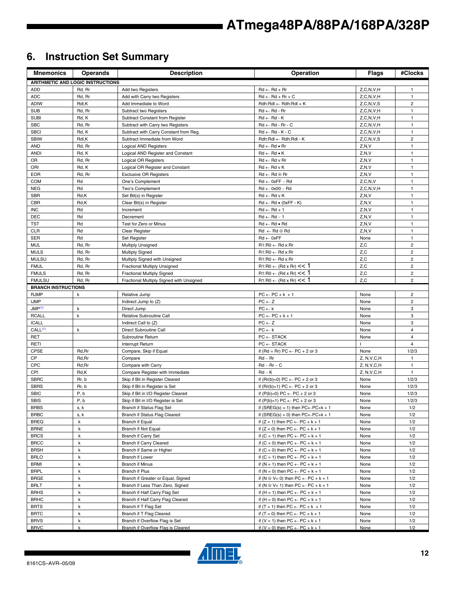## **6. Instruction Set Summary**

| <b>Mnemonics</b>            | <b>Operands</b>                          | <b>Description</b>                                                | Operation                                                                                    | <b>Flags</b>  | #Clocks                          |
|-----------------------------|------------------------------------------|-------------------------------------------------------------------|----------------------------------------------------------------------------------------------|---------------|----------------------------------|
|                             | <b>ARITHMETIC AND LOGIC INSTRUCTIONS</b> |                                                                   |                                                                                              |               |                                  |
| ADD                         | Rd, Rr                                   | Add two Registers                                                 | $Rd \leftarrow Rd + Rr$                                                                      | Z, C, N, V, H | $\mathbf{1}$                     |
| ADC                         | Rd, Rr                                   | Add with Carry two Registers                                      | $Rd \leftarrow Rd + Rr + C$                                                                  | Z, C, N, V, H | $\mathbf{1}$                     |
| <b>ADIW</b>                 | Rdl,K                                    | Add Immediate to Word                                             | $Rdh:Rdl \leftarrow Rdh:Rdl + K$                                                             | Z, C, N, V, S | $\mathbf 2$                      |
| <b>SUB</b>                  | Rd, Rr                                   | Subtract two Registers                                            | $Rd \leftarrow Rd - Rr$                                                                      | Z, C, N, V, H | $\mathbf{1}$                     |
| <b>SUBI</b>                 | Rd, K                                    | Subtract Constant from Register                                   | $Rd \leftarrow Rd - K$                                                                       | Z, C, N, V, H | $\mathbf{1}$                     |
| <b>SBC</b>                  | Rd, Rr                                   | Subtract with Carry two Registers                                 | $Rd \leftarrow Rd - Rr - C$                                                                  | Z, C, N, V, H | 1                                |
| <b>SBCI</b>                 | Rd, K                                    | Subtract with Carry Constant from Reg.                            | $Rd \leftarrow Rd - K - C$                                                                   | Z, C, N, V, H | $\mathbf{1}$                     |
| <b>SBIW</b>                 | Rdl,K                                    | Subtract Immediate from Word                                      | Rdh:Rdl ← Rdh:Rdl - K                                                                        | Z, C, N, V, S | $\overline{2}$                   |
| <b>AND</b>                  | Rd, Rr                                   | <b>Logical AND Registers</b>                                      | $Rd \leftarrow Rd \bullet Rr$                                                                | Z, N, V       | $\mathbf{1}$                     |
| <b>ANDI</b>                 | Rd, K                                    | Logical AND Register and Constant                                 | $Rd \leftarrow Rd \bullet K$                                                                 | Z, N, V       | $\mathbf{1}$                     |
| OR                          | Rd, Rr                                   | Logical OR Registers                                              | $Rd \leftarrow Rd$ v Rr                                                                      | Z, N, V       | $\mathbf{1}$                     |
| ORI                         | Rd, K                                    | Logical OR Register and Constant                                  | $Rd \leftarrow Rd \vee K$                                                                    | Z, N, V       | $\mathbf{1}$                     |
| <b>EOR</b>                  | Rd, Rr                                   | <b>Exclusive OR Registers</b>                                     | $Rd \leftarrow Rd \oplus Rr$                                                                 | Z, N, V       | $\mathbf{1}$                     |
| <b>COM</b>                  | Rd                                       | One's Complement                                                  | $Rd \leftarrow 0xFF - Rd$                                                                    | Z, C, N, V    | $\mathbf{1}$                     |
| <b>NEG</b>                  | Rd                                       | Two's Complement                                                  | $Rd \leftarrow 0x00 - Rd$                                                                    | Z, C, N, V, H | $\mathbf{1}$                     |
| <b>SBR</b>                  | Rd,K                                     | Set Bit(s) in Register                                            | $Rd \leftarrow Rd$ v K                                                                       | Z, N, V       | $\mathbf{1}$                     |
| <b>CBR</b>                  | Rd,K                                     | Clear Bit(s) in Register                                          | $Rd \leftarrow Rd \bullet (0xFF - K)$                                                        | Z, N, V       | $\mathbf{1}$                     |
| <b>INC</b>                  | Rd                                       | Increment                                                         | $Rd \leftarrow Rd + 1$                                                                       | Z, N, V       | $\mathbf{1}$                     |
| <b>DEC</b>                  | Rd                                       | Decrement                                                         | $Rd \leftarrow Rd - 1$                                                                       | Z, N, V       | $\mathbf{1}$                     |
| <b>TST</b>                  | Rd                                       | Test for Zero or Minus                                            | $Rd \leftarrow Rd \bullet Rd$                                                                | Z, N, V       | $\mathbf{1}$                     |
| <b>CLR</b>                  | Rd                                       | Clear Register                                                    | $Rd \leftarrow Rd \oplus Rd$                                                                 | Z, N, V       | $\mathbf{1}$                     |
| <b>SER</b>                  | Rd                                       | Set Register                                                      | $Rd \leftarrow 0xFF$                                                                         | None          | $\mathbf{1}$                     |
| <b>MUL</b>                  | Rd, Rr                                   | <b>Multiply Unsigned</b>                                          | $R1:R0 \leftarrow Rd \times Rr$                                                              | Z, C          | $\mathbf 2$                      |
| <b>MULS</b>                 | Rd, Rr                                   | <b>Multiply Signed</b>                                            | $R1:R0 \leftarrow Rd \times Rr$                                                              | Z, C          | $\overline{2}$<br>$\overline{2}$ |
| <b>MULSU</b><br><b>FMUL</b> | Rd, Rr<br>Rd, Rr                         | Multiply Signed with Unsigned                                     | $R1:R0 \leftarrow Rd \times Rr$<br>$R1:R0 \leftarrow (Rd \times Rr) \leq 1$                  | Z, C<br>Z,C   | $\overline{c}$                   |
| <b>FMULS</b>                | Rd, Rr                                   | Fractional Multiply Unsigned<br><b>Fractional Multiply Signed</b> | $R1:R0 \leftarrow (Rd \times Rr) \leq 1$                                                     | Z,C           | 2                                |
| <b>FMULSU</b>               | Rd, Rr                                   | Fractional Multiply Signed with Unsigned                          | $R1:R0 \leftarrow (Rd \times Rr) \leq 1$                                                     | Z, C          | $\overline{2}$                   |
| <b>BRANCH INSTRUCTIONS</b>  |                                          |                                                                   |                                                                                              |               |                                  |
| <b>RJMP</b>                 | k                                        | Relative Jump                                                     | $PC \leftarrow PC + k + 1$                                                                   | None          | $\overline{2}$                   |
| <b>IJMP</b>                 |                                          | Indirect Jump to (Z)                                              | $PC \leftarrow Z$                                                                            | None          | $\overline{c}$                   |
| JMP <sup>(1)</sup>          | k                                        | Direct Jump                                                       | $PC \leftarrow k$                                                                            | None          | 3                                |
| <b>RCALL</b>                | $\mathsf k$                              | Relative Subroutine Call                                          | $PC \leftarrow PC + k + 1$                                                                   | None          | 3                                |
| <b>ICALL</b>                |                                          | Indirect Call to (Z)                                              | $PC \leftarrow Z$                                                                            | None          | 3                                |
| CALL <sup>(1)</sup>         | k                                        | Direct Subroutine Call                                            | $PC \leftarrow k$                                                                            | None          | 4                                |
| RET                         |                                          | Subroutine Return                                                 | ${\sf PC} \leftarrow {\sf STACK}$                                                            | None          | 4                                |
| <b>RETI</b>                 |                                          | Interrupt Return                                                  | $PC \leftarrow$ STACK                                                                        | т.            | $\overline{4}$                   |
| CPSE                        | Rd, Rr                                   | Compare, Skip if Equal                                            | if (Rd = Rr) PC $\leftarrow$ PC + 2 or 3                                                     | None          | 1/2/3                            |
| CP                          | Rd, Rr                                   | Compare                                                           | $Rd - Rr$                                                                                    | Z, N, V, C, H | $\mathbf{1}$                     |
| <b>CPC</b>                  | Rd, Rr                                   | Compare with Carry                                                | $Rd - Rr - C$                                                                                | Z, N, V, C, H | $\mathbf{1}$                     |
| CPI                         | Rd,K                                     | Compare Register with Immediate                                   | $Rd - K$                                                                                     | Z, N, V, C, H | $\mathbf{1}$                     |
| <b>SBRC</b>                 | Rr, b                                    | Skip if Bit in Register Cleared                                   | if $(Rr(b)=0) PC \leftarrow PC + 2$ or 3                                                     | None          | 1/2/3                            |
| <b>SBRS</b>                 | Rr, b                                    | Skip if Bit in Register is Set                                    | if $(Rr(b)=1) PC \leftarrow PC + 2$ or 3                                                     | None          | 1/2/3                            |
| <b>SBIC</b>                 | P, b                                     | Skip if Bit in I/O Register Cleared                               | if $(P(b)=0) PC \leftarrow PC + 2$ or 3                                                      | None          | 1/2/3                            |
| <b>SBIS</b>                 | P, b                                     | Skip if Bit in I/O Register is Set                                | if $(P(b)=1) PC \leftarrow PC + 2$ or 3                                                      | None          | 1/2/3                            |
| <b>BRBS</b>                 | s, k                                     | Branch if Status Flag Set                                         | if (SREG(s) = 1) then $PC \leftarrow PC + k + 1$                                             | None          | 1/2                              |
| <b>BRBC</b>                 | s, k                                     | Branch if Status Flag Cleared                                     | if (SREG(s) = 0) then $PC \leftarrow PC + k + 1$                                             | None          | 1/2                              |
| <b>BREQ</b>                 | k                                        | Branch if Equal                                                   | if $(Z = 1)$ then $PC \leftarrow PC + k + 1$                                                 | None          | 1/2                              |
| <b>BRNE</b>                 | k                                        | Branch if Not Equal                                               | if $(Z = 0)$ then $PC \leftarrow PC + k + 1$                                                 | None          | 1/2                              |
| <b>BRCS</b>                 | $\sf k$                                  | Branch if Carry Set                                               | if $(C = 1)$ then $PC \leftarrow PC + k + 1$                                                 | None          | 1/2                              |
| <b>BRCC</b>                 | k                                        | Branch if Carry Cleared                                           | if $(C = 0)$ then $PC \leftarrow PC + k + 1$                                                 | None          | 1/2                              |
| <b>BRSH</b>                 | k                                        | Branch if Same or Higher                                          | if $(C = 0)$ then $PC \leftarrow PC + k + 1$                                                 | None          | 1/2                              |
| <b>BRLO</b>                 | k                                        | Branch if Lower                                                   | if $(C = 1)$ then $PC \leftarrow PC + k + 1$                                                 | None          | 1/2                              |
| <b>BRMI</b>                 | k                                        | <b>Branch if Minus</b>                                            | if $(N = 1)$ then $PC \leftarrow PC + k + 1$                                                 | None          | 1/2                              |
| <b>BRPL</b>                 | k                                        | Branch if Plus                                                    | if $(N = 0)$ then $PC \leftarrow PC + k + 1$                                                 | None          | 1/2                              |
| <b>BRGE</b>                 | k                                        | Branch if Greater or Equal, Signed                                | if $(N \oplus V = 0)$ then $PC \leftarrow PC + k + 1$                                        | None          | 1/2                              |
| <b>BRLT</b>                 | k                                        | Branch if Less Than Zero, Signed                                  | if $(N \oplus V = 1)$ then $PC \leftarrow PC + k + 1$                                        | None          | 1/2                              |
| <b>BRHS</b>                 | k                                        | Branch if Half Carry Flag Set                                     | if $(H = 1)$ then $PC \leftarrow PC + k + 1$                                                 | None          | 1/2                              |
| <b>BRHC</b>                 | k                                        | Branch if Half Carry Flag Cleared                                 | if $(H = 0)$ then $PC \leftarrow PC + k + 1$                                                 | None          | 1/2                              |
| <b>BRTS</b>                 | k<br>k                                   | Branch if T Flag Set                                              | if $(T = 1)$ then PC $\leftarrow$ PC + k + 1                                                 | None          | 1/2                              |
| <b>BRTC</b><br><b>BRVS</b>  | $\sf k$                                  | Branch if T Flag Cleared<br>Branch if Overflow Flag is Set        | if $(T = 0)$ then $PC \leftarrow PC + k + 1$<br>if $(V = 1)$ then $PC \leftarrow PC + k + 1$ | None<br>None  | 1/2<br>1/2                       |
| <b>BRVC</b>                 | $\mathsf k$                              | Branch if Overflow Flag is Cleared                                | if $(V = 0)$ then $PC \leftarrow PC + k + 1$                                                 | None          | 1/2                              |

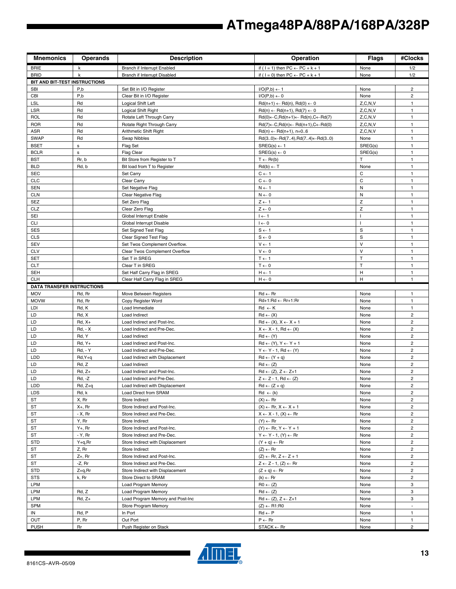| <b>Mnemonics</b>                  | <b>Operands</b>         | <b>Description</b>                           | Operation                                                                      | <b>Flags</b>    | #Clocks                      |
|-----------------------------------|-------------------------|----------------------------------------------|--------------------------------------------------------------------------------|-----------------|------------------------------|
| <b>BRIE</b>                       | k                       | Branch if Interrupt Enabled                  | if ( $1 = 1$ ) then $PC \leftarrow PC + k + 1$                                 | None            | 1/2                          |
| <b>BRID</b>                       | k                       | Branch if Interrupt Disabled                 | if ( $1 = 0$ ) then PC $\leftarrow$ PC + k + 1                                 | None            | 1/2                          |
| BIT AND BIT-TEST INSTRUCTIONS     |                         |                                              |                                                                                |                 |                              |
| <b>SBI</b>                        | P,b                     | Set Bit in I/O Register                      | $I/O(P,b) \leftarrow 1$                                                        | None            | $\overline{2}$               |
| CBI                               | P,b                     | Clear Bit in I/O Register                    | $I/O(P,b) \leftarrow 0$                                                        | None            | $\overline{2}$               |
| <b>LSL</b>                        | Rd                      | Logical Shift Left                           | $Rd(n+1) \leftarrow Rd(n), Rd(0) \leftarrow 0$                                 | Z, C, N, V      | $\mathbf{1}$                 |
| LSR                               | Rd                      | Logical Shift Right                          | $Rd(n) \leftarrow Rd(n+1), Rd(7) \leftarrow 0$                                 | Z, C, N, V      | $\mathbf{1}$                 |
| <b>ROL</b>                        | Rd                      | Rotate Left Through Carry                    | $Rd(0) \leftarrow C, Rd(n+1) \leftarrow Rd(n), C \leftarrow Rd(7)$             | Z, C, N, V      | $\mathbf{1}$                 |
| <b>ROR</b>                        | Rd                      | Rotate Right Through Carry                   | $Rd(7) \leftarrow C, Rd(n) \leftarrow Rd(n+1), C \leftarrow Rd(0)$             | Z, C, N, V      | $\mathbf{1}$                 |
| <b>ASR</b>                        | Rd                      | Arithmetic Shift Right                       | $Rd(n) \leftarrow Rd(n+1), n=06$                                               | Z, C, N, V      | $\mathbf{1}$                 |
| <b>SWAP</b><br><b>BSET</b>        | Rd<br>s                 | Swap Nibbles                                 | $Rd(30) \leftarrow Rd(74), Rd(74) \leftarrow Rd(30)$<br>$SREG(s) \leftarrow 1$ | None<br>SREG(s) | $\mathbf{1}$<br>$\mathbf{1}$ |
| <b>BCLR</b>                       | $\mathbf s$             | Flag Set<br><b>Flag Clear</b>                | $SREG(s) \leftarrow 0$                                                         | SREG(s)         | $\mathbf{1}$                 |
| <b>BST</b>                        | Rr, b                   | Bit Store from Register to T                 | $T \leftarrow Rr(b)$                                                           | T               | $\mathbf{1}$                 |
| <b>BLD</b>                        | Rd, b                   | Bit load from T to Register                  | $Rd(b) \leftarrow T$                                                           | None            | $\mathbf{1}$                 |
| <b>SEC</b>                        |                         | Set Carry                                    | $C \leftarrow 1$                                                               | C               | $\mathbf{1}$                 |
| <b>CLC</b>                        |                         | Clear Carry                                  | $C \leftarrow 0$                                                               | C               | $\mathbf{1}$                 |
| <b>SEN</b>                        |                         | Set Negative Flag                            | $N \leftarrow 1$                                                               | ${\sf N}$       | $\mathbf{1}$                 |
| <b>CLN</b>                        |                         | Clear Negative Flag                          | $N \leftarrow 0$                                                               | N               | $\mathbf{1}$                 |
| <b>SEZ</b>                        |                         | Set Zero Flag                                | $Z \leftarrow 1$                                                               | Z               | $\mathbf{1}$                 |
| CLZ                               |                         | Clear Zero Flag                              | $Z \leftarrow 0$                                                               | Z               | $\mathbf{1}$                 |
| SEI                               |                         | Global Interrupt Enable                      | $I \leftarrow 1$                                                               | $\mathbf{I}$    | $\mathbf{1}$                 |
| <b>CLI</b>                        |                         | Global Interrupt Disable                     | $I \leftarrow 0$                                                               |                 | $\mathbf{1}$                 |
| <b>SES</b>                        |                         | Set Signed Test Flag                         | $S \leftarrow 1$                                                               | S               | $\mathbf{1}$                 |
| <b>CLS</b>                        |                         | Clear Signed Test Flag                       | $S \leftarrow 0$                                                               | $\mathbf S$     | $\mathbf{1}$                 |
| <b>SEV</b>                        |                         | Set Twos Complement Overflow.                | $V \leftarrow 1$                                                               | $\vee$          | $\mathbf{1}$                 |
| <b>CLV</b>                        |                         | Clear Twos Complement Overflow               | $V \leftarrow 0$                                                               | $\vee$          | $\mathbf{1}$                 |
| <b>SET</b>                        |                         | Set T in SREG                                | $T \leftarrow 1$                                                               | T               | $\mathbf{1}$                 |
| <b>CLT</b>                        |                         | Clear T in SREG                              | $T \leftarrow 0$                                                               | T               | $\mathbf{1}$                 |
| <b>SEH</b>                        |                         | Set Half Carry Flag in SREG                  | $H \leftarrow 1$                                                               | H               | $\mathbf{1}$                 |
| <b>CLH</b>                        |                         | Clear Half Carry Flag in SREG                | $H \leftarrow 0$                                                               | H               | $\mathbf{1}$                 |
| <b>DATA TRANSFER INSTRUCTIONS</b> |                         |                                              |                                                                                |                 |                              |
| <b>MOV</b>                        | Rd, Rr                  | Move Between Registers                       | $Rd \leftarrow Rr$                                                             | None            | $\mathbf{1}$                 |
| <b>MOVW</b>                       | Rd, Rr                  | Copy Register Word                           | Rd+1:Rd ← Rr+1:Rr                                                              | None            | $\mathbf{1}$                 |
| LDI                               | Rd, K                   | Load Immediate                               | $Rd \leftarrow K$                                                              | None            | $\mathbf{1}$                 |
| LD                                | Rd, X                   | Load Indirect                                | $Rd \leftarrow (X)$                                                            | None            | $\mathbf 2$                  |
| LD                                | $Rd, X+$                | Load Indirect and Post-Inc.                  | $Rd \leftarrow (X), X \leftarrow X + 1$                                        | None            | 2                            |
| LD<br>LD                          | <b>Rd, - X</b><br>Rd, Y | Load Indirect and Pre-Dec.                   | $X \leftarrow X - 1$ , Rd $\leftarrow (X)$<br>$Rd \leftarrow (Y)$              | None            | 2<br>$\overline{c}$          |
| LD                                | $Rd, Y+$                | Load Indirect<br>Load Indirect and Post-Inc. | $Rd \leftarrow (Y), Y \leftarrow Y + 1$                                        | None<br>None    | 2                            |
| LD                                | <b>Rd. - Y</b>          | Load Indirect and Pre-Dec.                   | $Y \leftarrow Y - 1$ , Rd $\leftarrow (Y)$                                     | None            | $\overline{c}$               |
| LDD                               | $Rd, Y+q$               | Load Indirect with Displacement              | $Rd \leftarrow (Y + q)$                                                        | None            | 2                            |
| LD                                | Rd, Z                   | Load Indirect                                | $Rd \leftarrow (Z)$                                                            | None            | $\overline{c}$               |
| LD                                | $Rd, Z+$                | Load Indirect and Post-Inc.                  | $Rd \leftarrow (Z), Z \leftarrow Z+1$                                          | None            | 2                            |
| LD                                | Rd, -Z                  | Load Indirect and Pre-Dec.                   | $Z \leftarrow Z - 1$ , Rd $\leftarrow (Z)$                                     | None            | $\mathbf 2$                  |
| LDD                               | Rd, Z+q                 | Load Indirect with Displacement              | $Rd \leftarrow (Z + q)$                                                        | None            | $\overline{a}$               |
| <b>LDS</b>                        | Rd, k                   | Load Direct from SRAM                        | $Rd \leftarrow (k)$                                                            | None            | $\overline{c}$               |
| ST                                | X, Rr                   | Store Indirect                               | $(X) \leftarrow Rr$                                                            | None            | $\overline{c}$               |
| ST                                | X+, Rr                  | Store Indirect and Post-Inc.                 | $(X) \leftarrow$ Rr, $X \leftarrow X + 1$                                      | None            | 2                            |
| ST                                | - X, Rr                 | Store Indirect and Pre-Dec.                  | $X \leftarrow X - 1$ , $(X) \leftarrow Rr$                                     | None            | $\overline{c}$               |
| ST                                | Y, Rr                   | Store Indirect                               | $(Y) \leftarrow Rr$                                                            | None            | $\overline{2}$               |
| ST                                | Y+, Rr                  | Store Indirect and Post-Inc.                 | $(Y) \leftarrow$ Rr, $Y \leftarrow Y + 1$                                      | None            | 2                            |
| ST                                | - Y, Rr                 | Store Indirect and Pre-Dec.                  | $Y \leftarrow Y - 1$ , $(Y) \leftarrow Rr$                                     | None            | $\overline{2}$               |
| <b>STD</b>                        | $Y+q, Rr$               | Store Indirect with Displacement             | $(Y + q) \leftarrow Rr$                                                        | None            | $\overline{\mathbf{c}}$      |
| ST                                | Z, Rr                   | Store Indirect                               | $(Z) \leftarrow$ Rr                                                            | None            | $\overline{c}$               |
| ST                                | $Z+$ , Rr               | Store Indirect and Post-Inc.                 | $(Z) \leftarrow$ Rr, $Z \leftarrow Z + 1$                                      | None            | $\overline{c}$               |
| ST                                | -Z, Rr                  | Store Indirect and Pre-Dec.                  | $Z \leftarrow Z - 1$ , $(Z) \leftarrow Rr$                                     | None            | $\overline{2}$               |
| <b>STD</b>                        | Z+q,Rr                  | Store Indirect with Displacement             | $(Z + q) \leftarrow Rr$                                                        | None            | $\overline{a}$               |
| <b>STS</b>                        | k, Rr                   | Store Direct to SRAM                         | $(k) \leftarrow Rr$                                                            | None            | 2                            |
| LPM                               |                         | Load Program Memory                          | $R0 \leftarrow (Z)$                                                            | None            | 3                            |
| LPM                               | Rd, Z                   | Load Program Memory                          | $Rd \leftarrow (Z)$                                                            | None            | 3                            |
| LPM                               | $Rd, Z+$                | Load Program Memory and Post-Inc             | $Rd \leftarrow (Z), Z \leftarrow Z+1$                                          | None            | 3                            |
| <b>SPM</b>                        |                         | Store Program Memory                         | $(Z) \leftarrow R1:R0$                                                         | None            | $\blacksquare$               |
| IN<br>OUT                         | Rd, P<br>P, Rr          | In Port<br>Out Port                          | $Rd \leftarrow P$<br>$P \leftarrow Rr$                                         | None            | $\mathbf{1}$<br>$\mathbf{1}$ |
| <b>PUSH</b>                       | <b>Rr</b>               | Push Register on Stack                       | $STACK \leftarrow Rr$                                                          | None<br>None    | $\overline{2}$               |

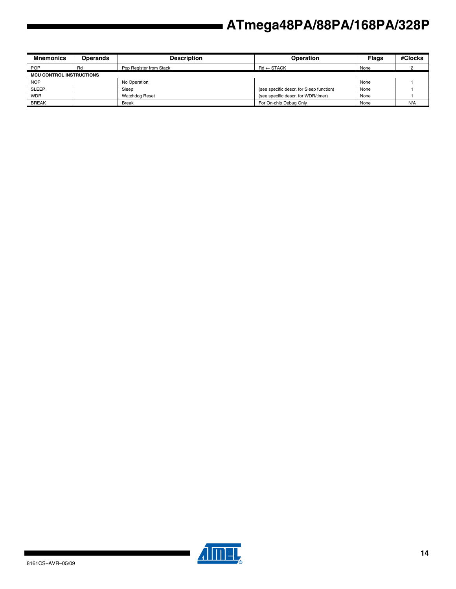| <b>Mnemonics</b>                | <b>Operands</b> | <b>Description</b>      | <b>Operation</b>                         | <b>Flags</b> | #Clocks |
|---------------------------------|-----------------|-------------------------|------------------------------------------|--------------|---------|
| <b>POP</b>                      | Rd              | Pop Register from Stack | $Rd \leftarrow$ STACK                    | None         |         |
| <b>MCU CONTROL INSTRUCTIONS</b> |                 |                         |                                          |              |         |
| <b>NOP</b>                      |                 | No Operation            |                                          | None         |         |
| <b>SLEEP</b>                    |                 | Sleep                   | (see specific descr. for Sleep function) | None         |         |
| <b>WDR</b>                      |                 | <b>Watchdog Reset</b>   | (see specific descr. for WDR/timer)      | None         |         |
| <b>BREAK</b>                    |                 | <b>Break</b>            | For On-chip Debug Only                   | None         | N/A     |



▊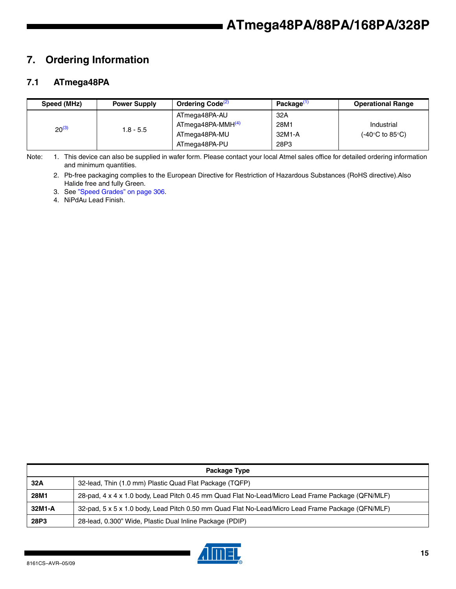## **7. Ordering Information**

### **7.1 ATmega48PA**

| Speed (MHz) | <b>Power Supply</b> | Ordering Code <sup>(2)</sup>  | Package <sup>(1</sup> | <b>Operational Range</b>                 |
|-------------|---------------------|-------------------------------|-----------------------|------------------------------------------|
|             |                     | ATmega48PA-AU                 | 32A                   |                                          |
| $20^{(3)}$  | $1.8 - 5.5$         | ATmega48PA-MMH <sup>(4)</sup> | 28M1                  | Industrial                               |
|             |                     | ATmega48PA-MU                 | 32M1-A                | $(-40^{\circ}C \text{ to } 85^{\circ}C)$ |
|             |                     | ATmega48PA-PU                 | 28P3                  |                                          |

Note: 1. This device can also be supplied in wafer form. Please contact your local Atmel sales office for detailed ordering information and minimum quantities.

2. Pb-free packaging complies to the European Directive for Restriction of Hazardous Substances (RoHS directive).Also Halide free and fully Green.

3. See "Speed Grades" on page 306.

4. NiPdAu Lead Finish.

|        | Package Type                                                                                      |  |  |  |  |  |
|--------|---------------------------------------------------------------------------------------------------|--|--|--|--|--|
| 32A    | 32-lead, Thin (1.0 mm) Plastic Quad Flat Package (TQFP)                                           |  |  |  |  |  |
| 28M1   | 28-pad, 4 x 4 x 1.0 body, Lead Pitch 0.45 mm Quad Flat No-Lead/Micro Lead Frame Package (QFN/MLF) |  |  |  |  |  |
| 32M1-A | 32-pad, 5 x 5 x 1.0 body, Lead Pitch 0.50 mm Quad Flat No-Lead/Micro Lead Frame Package (QFN/MLF) |  |  |  |  |  |
| 28P3   | 28-lead, 0.300" Wide, Plastic Dual Inline Package (PDIP)                                          |  |  |  |  |  |

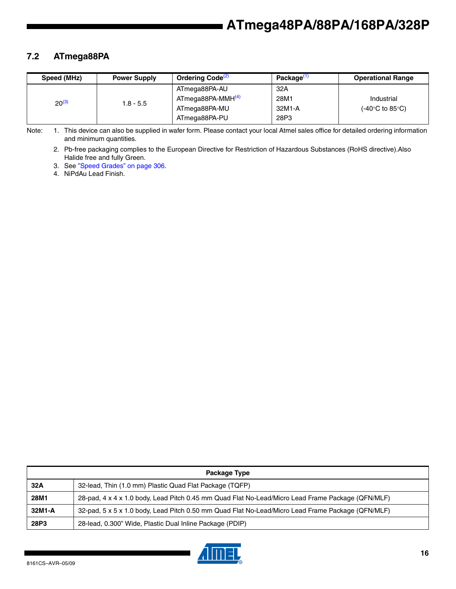### **7.2 ATmega88PA**

| Speed (MHz) | <b>Power Supply</b> | Ordering Code <sup>(2)</sup>  | Package <sup>(1</sup> | <b>Operational Range</b> |
|-------------|---------------------|-------------------------------|-----------------------|--------------------------|
|             |                     | ATmega88PA-AU                 | 32A                   |                          |
| $20^{(3)}$  | 1.8 - 5.5           | ATmega88PA-MMH <sup>(4)</sup> | 28M1                  | Industrial               |
|             |                     | ATmega88PA-MU                 | 32M1-A                | (-40°C to 85°C).         |
|             |                     | ATmega88PA-PU                 | 28P3                  |                          |

Note: 1. This device can also be supplied in wafer form. Please contact your local Atmel sales office for detailed ordering information and minimum quantities.

2. Pb-free packaging complies to the European Directive for Restriction of Hazardous Substances (RoHS directive).Also Halide free and fully Green.

3. See "Speed Grades" on page 306.

4. NiPdAu Lead Finish.

|        | Package Type                                                                                      |  |  |  |  |  |
|--------|---------------------------------------------------------------------------------------------------|--|--|--|--|--|
| 32A    | 32-lead, Thin (1.0 mm) Plastic Quad Flat Package (TQFP)                                           |  |  |  |  |  |
| 28M1   | 28-pad, 4 x 4 x 1.0 body, Lead Pitch 0.45 mm Quad Flat No-Lead/Micro Lead Frame Package (QFN/MLF) |  |  |  |  |  |
| 32M1-A | 32-pad, 5 x 5 x 1.0 body, Lead Pitch 0.50 mm Quad Flat No-Lead/Micro Lead Frame Package (QFN/MLF) |  |  |  |  |  |
| 28P3   | 28-lead, 0.300" Wide, Plastic Dual Inline Package (PDIP)                                          |  |  |  |  |  |

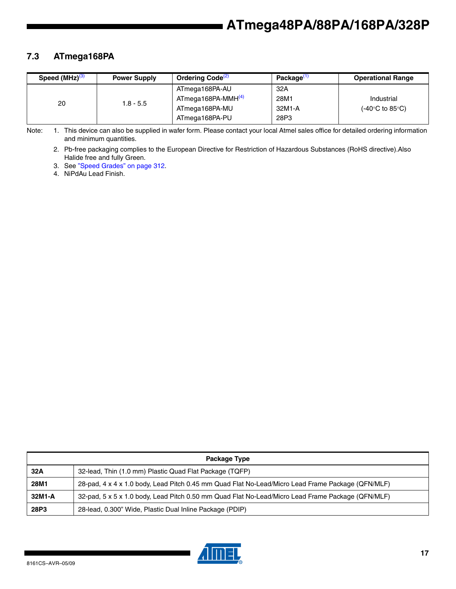### **7.3 ATmega168PA**

| Speed $(MHz)^{(3)}$ | <b>Power Supply</b> | Ordering Code <sup>(2)</sup>   | Package <sup>(1</sup> | <b>Operational Range</b> |
|---------------------|---------------------|--------------------------------|-----------------------|--------------------------|
| 20                  | $1.8 - 5.5$         | ATmega168PA-AU                 | 32A                   |                          |
|                     |                     | ATmega168PA-MMH <sup>(4)</sup> | 28M1                  | Industrial               |
|                     |                     | ATmega168PA-MU                 | 32M1-A                | (-40°C to 85°C).         |
|                     |                     | ATmega168PA-PU                 | 28P3                  |                          |

Note: 1. This device can also be supplied in wafer form. Please contact your local Atmel sales office for detailed ordering information and minimum quantities.

2. Pb-free packaging complies to the European Directive for Restriction of Hazardous Substances (RoHS directive).Also Halide free and fully Green.

3. See "Speed Grades" on page 312.

4. NiPdAu Lead Finish.

| Package Type |                                                                                                   |  |  |
|--------------|---------------------------------------------------------------------------------------------------|--|--|
| 32A          | 32-lead, Thin (1.0 mm) Plastic Quad Flat Package (TQFP)                                           |  |  |
| 28M1         | 28-pad, 4 x 4 x 1.0 body, Lead Pitch 0.45 mm Quad Flat No-Lead/Micro Lead Frame Package (QFN/MLF) |  |  |
| 32M1-A       | 32-pad, 5 x 5 x 1.0 body, Lead Pitch 0.50 mm Quad Flat No-Lead/Micro Lead Frame Package (QFN/MLF) |  |  |
| 28P3         | 28-lead, 0.300" Wide, Plastic Dual Inline Package (PDIP)                                          |  |  |

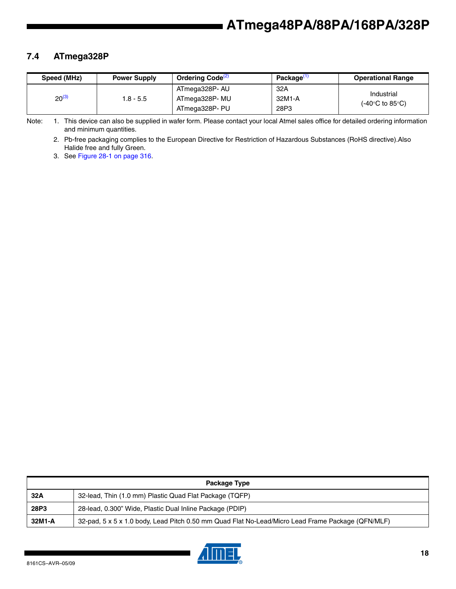### **7.4 ATmega328P**

| Speed (MHz) | <b>Power Supply</b> | Ordering Code <sup>(2)</sup> | Package <sup>(1</sup> | <b>Operational Range</b> |
|-------------|---------------------|------------------------------|-----------------------|--------------------------|
| $20^{(3)}$  | 1.8 - 5.5           | ATmega328P- AU               | 32A                   | Industrial               |
|             |                     | ATmega328P- MU               | 32M1-A                | (-40°C to 85°C).         |
|             |                     | ATmega328P- PU               | 28P3                  |                          |

Note: 1. This device can also be supplied in wafer form. Please contact your local Atmel sales office for detailed ordering information and minimum quantities.

2. Pb-free packaging complies to the European Directive for Restriction of Hazardous Substances (RoHS directive).Also Halide free and fully Green.

3. See Figure 28-1 on page 316.

|        | Package Type                                                                                      |
|--------|---------------------------------------------------------------------------------------------------|
| 32A    | 32-lead, Thin (1.0 mm) Plastic Quad Flat Package (TQFP)                                           |
| 28P3   | 28-lead, 0.300" Wide, Plastic Dual Inline Package (PDIP)                                          |
| 32M1-A | 32-pad, 5 x 5 x 1.0 body, Lead Pitch 0.50 mm Quad Flat No-Lead/Micro Lead Frame Package (QFN/MLF) |

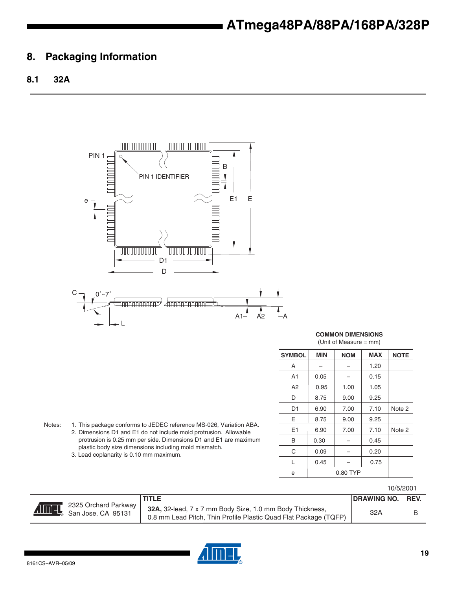### **8. Packaging Information**

### **8.1 32A**



**COMMON DIMENSIONS** (Unit of Measure = mm)

| <b>SYMBOL</b> | <b>MIN</b> | <b>NOM</b> | <b>MAX</b> | <b>NOTE</b> |
|---------------|------------|------------|------------|-------------|
| A             |            |            | 1.20       |             |
| A1            | 0.05       |            | 0.15       |             |
| A2            | 0.95       | 1.00       | 1.05       |             |
| D             | 8.75       | 9.00       | 9.25       |             |
| D1            | 6.90       | 7.00       | 7.10       | Note 2      |
| E             | 8.75       | 9.00       | 9.25       |             |
| E1            | 6.90       | 7.00       | 7.10       | Note 2      |
| B             | 0.30       |            | 0.45       |             |
| C             | 0.09       |            | 0.20       |             |
| L             | 0.45       |            | 0.75       |             |
| e             | 0.80 TYP   |            |            |             |

Notes: 1. This package conforms to JEDEC reference MS-026, Variation ABA. 2. Dimensions D1 and E1 do not include mold protrusion. Allowable protrusion is 0.25 mm per side. Dimensions D1 and E1 are maximum plastic body size dimensions including mold mismatch.

3. Lead coplanarity is 0.10 mm maximum.

#### 10/5/2001

|              |                                            | <b>TITLE</b>                                                                                                                 | <b>IDRAWING NO. IREV.</b> |  |
|--------------|--------------------------------------------|------------------------------------------------------------------------------------------------------------------------------|---------------------------|--|
| <b>Almey</b> | 2325 Orchard Parkway<br>San Jose, CA 95131 | 32A, 32-lead, 7 x 7 mm Body Size, 1.0 mm Body Thickness,<br>0.8 mm Lead Pitch, Thin Profile Plastic Quad Flat Package (TQFP) | 32A                       |  |

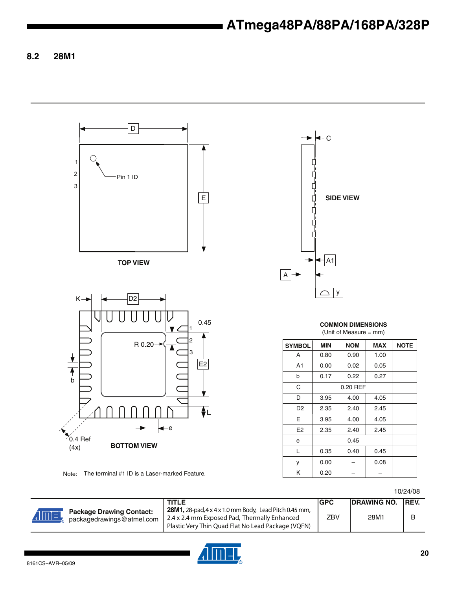**8.2 28M1**



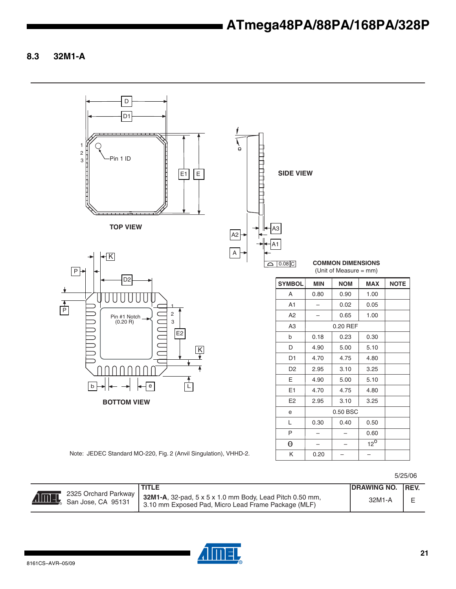**8.3 32M1-A**

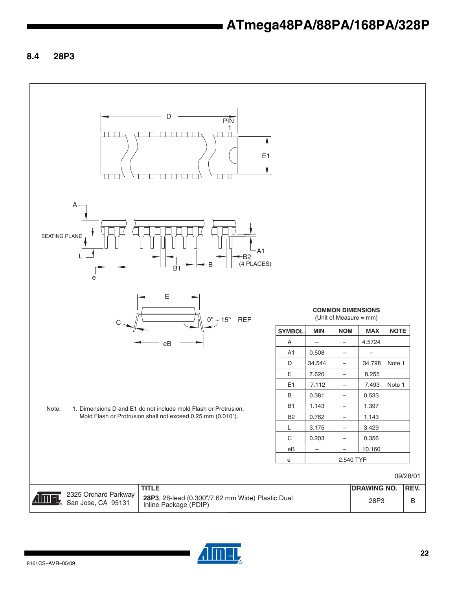**8.4 28P3**



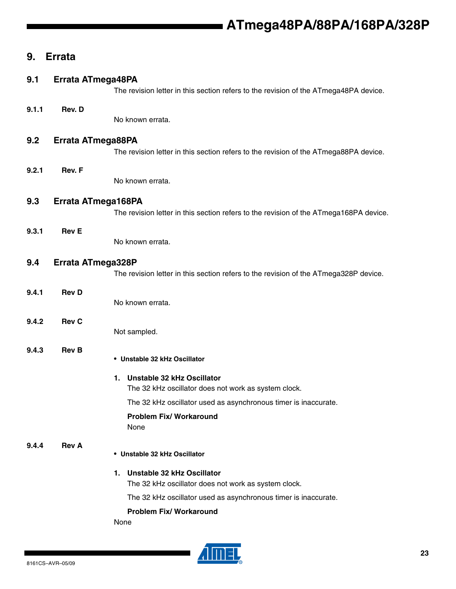### **9. Errata**

#### **9.1 Errata ATmega48PA**

The revision letter in this section refers to the revision of the ATmega48PA device.

#### **9.1.1 Rev. D**

No known errata.

#### **9.2 Errata ATmega88PA**

The revision letter in this section refers to the revision of the ATmega88PA device.

#### **9.2.1 Rev. F**

No known errata.

#### **9.3 Errata ATmega168PA**

The revision letter in this section refers to the revision of the ATmega168PA device.

#### **9.3.1 Rev E**

No known errata.

#### **9.4 Errata ATmega328P**

The revision letter in this section refers to the revision of the ATmega328P device.

### **9.4.1 Rev D**

No known errata.

#### **9.4.2 Rev C**

Not sampled.

#### **9.4.3 Rev B**

• **Unstable 32 kHz Oscillator**

#### **1. Unstable 32 kHz Oscillator**

The 32 kHz oscillator does not work as system clock.

The 32 kHz oscillator used as asynchronous timer is inaccurate.

#### **Problem Fix/ Workaround** None

### **9.4.4 Rev A**

#### • **Unstable 32 kHz Oscillator**

#### **1. Unstable 32 kHz Oscillator**

The 32 kHz oscillator does not work as system clock.

The 32 kHz oscillator used as asynchronous timer is inaccurate.

#### **Problem Fix/ Workaround**

None

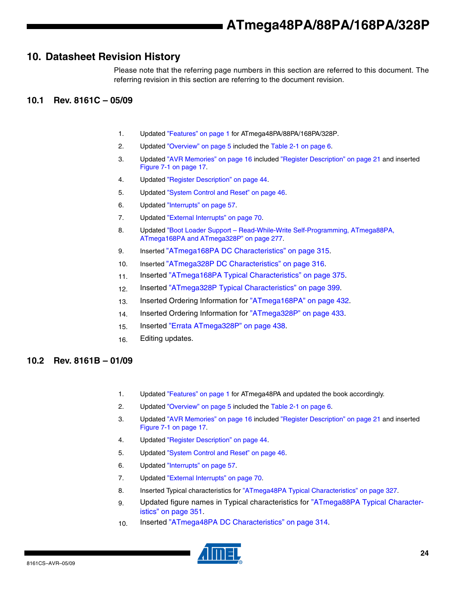### **10. Datasheet Revision History**

Please note that the referring page numbers in this section are referred to this document. The referring revision in this section are referring to the document revision.

#### **10.1 Rev. 8161C – 05/09**

- 1. Updated "Features" on page 1 for ATmega48PA/88PA/168PA/328P.
- 2. Updated "Overview" on page 5 included the Table 2-1 on page 6.
- 3. Updated "AVR Memories" on page 16 included "Register Description" on page 21 and inserted Figure 7-1 on page 17.
- 4. Updated "Register Description" on page 44.
- 5. Updated "System Control and Reset" on page 46.
- 6. Updated "Interrupts" on page 57.
- 7. Updated "External Interrupts" on page 70.
- 8. Updated "Boot Loader Support Read-While-Write Self-Programming, ATmega88PA, ATmega168PA and ATmega328P" on page 277.
- 9. Inserted "ATmega168PA DC Characteristics" on page 315.
- 10. Inserted "ATmega328P DC Characteristics" on page 316.
- 11. Inserted "ATmega168PA Typical Characteristics" on page 375.
- 12. Inserted "ATmega328P Typical Characteristics" on page 399.
- 13. Inserted Ordering Information for "ATmega168PA" on page 432.
- 14. Inserted Ordering Information for "ATmega328P" on page 433.
- 15. Inserted "Errata ATmega328P" on page 438.
- 16. Editing updates.

#### **10.2 Rev. 8161B – 01/09**

- 1. Updated "Features" on page 1 for ATmega48PA and updated the book accordingly.
- 2. Updated "Overview" on page 5 included the Table 2-1 on page 6.
- 3. Updated "AVR Memories" on page 16 included "Register Description" on page 21 and inserted Figure 7-1 on page 17.
- 4. Updated "Register Description" on page 44.
- 5. Updated "System Control and Reset" on page 46.
- 6. Updated "Interrupts" on page 57.
- 7. Updated "External Interrupts" on page 70.
- 8. Inserted Typical characteristics for "ATmega48PA Typical Characteristics" on page 327.
- 9. Updated figure names in Typical characteristics for "ATmega88PA Typical Characteristics" on page 351.
- 10. Inserted "ATmega48PA DC Characteristics" on page 314.

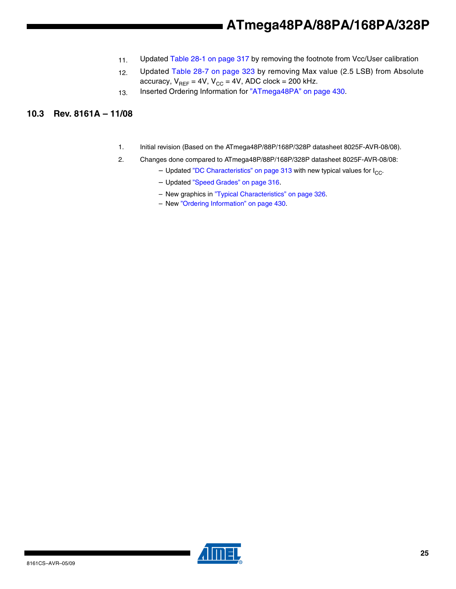- 11. Updated Table 28-1 on page 317 by removing the footnote from Vcc/User calibration
- 12. Updated Table 28-7 on page 323 by removing Max value (2.5 LSB) from Absolute accuracy,  $V_{REF} = 4V$ ,  $V_{CC} = 4V$ , ADC clock = 200 kHz.
- 13. Inserted Ordering Information for "ATmega48PA" on page 430.

#### **10.3 Rev. 8161A – 11/08**

- 1. Initial revision (Based on the ATmega48P/88P/168P/328P datasheet 8025F-AVR-08/08).
- 2. Changes done compared to ATmega48P/88P/168P/328P datasheet 8025F-AVR-08/08:
	- Updated "DC Characteristics" on page 313 with new typical values for  $I_{CC}$ .
	- Updated "Speed Grades" on page 316.
	- New graphics in "Typical Characteristics" on page 326.
	- New "Ordering Information" on page 430.